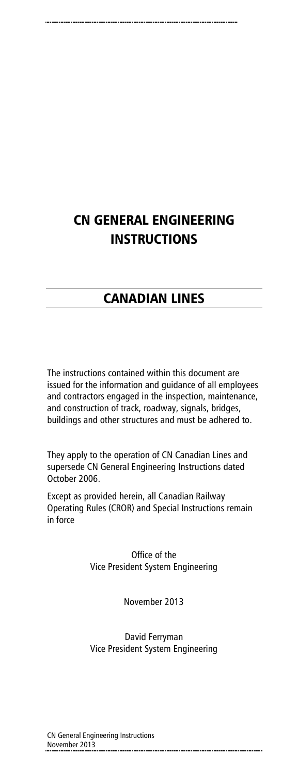# CN GENERAL ENGINEERING INSTRUCTIONS

# CANADIAN LINES

The instructions contained within this document are issued for the information and guidance of all employees and contractors engaged in the inspection, maintenance, and construction of track, roadway, signals, bridges, buildings and other structures and must be adhered to.

They apply to the operation of CN Canadian Lines and supersede CN General Engineering Instructions dated October 2006.

Except as provided herein, all Canadian Railway Operating Rules (CROR) and Special Instructions remain in force

> Office of the Vice President System Engineering

> > November 2013

David Ferryman Vice President System Engineering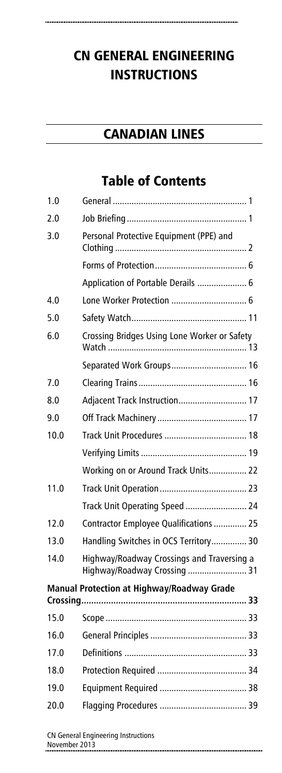# CN GENERAL ENGINEERING INSTRUCTIONS

# CANADIAN LINES

# Table of Contents

| 1.0  |                                                                            |
|------|----------------------------------------------------------------------------|
| 2.0  |                                                                            |
| 3.0  | Personal Protective Equipment (PPE) and                                    |
|      |                                                                            |
|      | Application of Portable Derails  6                                         |
| 4.0  |                                                                            |
| 5.0  |                                                                            |
| 6.0  | Crossing Bridges Using Lone Worker or Safety                               |
|      | Separated Work Groups 16                                                   |
| 7.0  |                                                                            |
| 8.0  | Adjacent Track Instruction 17                                              |
| 9.0  |                                                                            |
| 10.0 |                                                                            |
|      |                                                                            |
|      | Working on or Around Track Units 22                                        |
| 11.0 |                                                                            |
|      | Track Unit Operating Speed  24                                             |
| 12.0 | Contractor Employee Qualifications  25                                     |
| 13.0 | Handling Switches in OCS Territory 30                                      |
| 14.0 | Highway/Roadway Crossings and Traversing a<br>Highway/Roadway Crossing  31 |
|      | <b>Manual Protection at Highway/Roadway Grade</b>                          |
| 15.0 |                                                                            |
| 16.0 |                                                                            |
| 17.0 |                                                                            |
| 18.0 |                                                                            |
| 19.0 |                                                                            |
| 20.0 |                                                                            |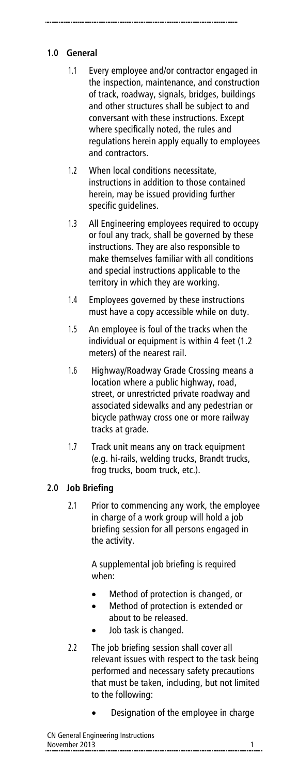# **1.0 General**

- 1.1 Every employee and/or contractor engaged in the inspection, maintenance, and construction of track, roadway, signals, bridges, buildings and other structures shall be subject to and conversant with these instructions. Except where specifically noted, the rules and regulations herein apply equally to employees and contractors.
- 1.2 When local conditions necessitate, instructions in addition to those contained herein, may be issued providing further specific guidelines.
- 1.3 All Engineering employees required to occupy or foul any track, shall be governed by these instructions. They are also responsible to make themselves familiar with all conditions and special instructions applicable to the territory in which they are working.
- 1.4 Employees governed by these instructions must have a copy accessible while on duty.
- 1.5 An employee is foul of the tracks when the individual or equipment is within 4 feet (1.2 meters**)** of the nearest rail.
- 1.6 Highway/Roadway Grade Crossing means a location where a public highway, road, street, or unrestricted private roadway and associated sidewalks and any pedestrian or bicycle pathway cross one or more railway tracks at grade.
- 1.7 Track unit means any on track equipment (e.g. hi-rails, welding trucks, Brandt trucks, frog trucks, boom truck, etc.).

# **2.0 Job Briefing**

2.1 Prior to commencing any work, the employee in charge of a work group will hold a job briefing session for all persons engaged in the activity.

> A supplemental job briefing is required when:

- Method of protection is changed, or
- Method of protection is extended or about to be released.
- Job task is changed.
- 2.2 The job briefing session shall cover all relevant issues with respect to the task being performed and necessary safety precautions that must be taken, including, but not limited to the following:
	- Designation of the employee in charge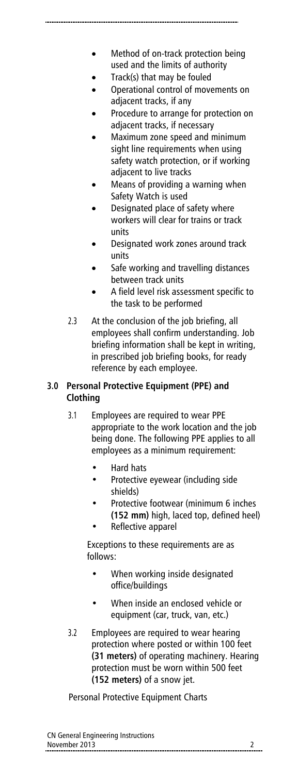- Method of on-track protection being used and the limits of authority
- Track(s) that may be fouled
- Operational control of movements on adjacent tracks, if any
- Procedure to arrange for protection on adjacent tracks, if necessary
- Maximum zone speed and minimum sight line requirements when using safety watch protection, or if working adjacent to live tracks
- Means of providing a warning when Safety Watch is used
- Designated place of safety where workers will clear for trains or track units
- Designated work zones around track units
- Safe working and travelling distances between track units
- A field level risk assessment specific to the task to be performed
- 2.3 At the conclusion of the job briefing, all employees shall confirm understanding. Job briefing information shall be kept in writing, in prescribed job briefing books, for ready reference by each employee.

### **3.0 Personal Protective Equipment (PPE) and Clothing**

- 3.1 Employees are required to wear PPE appropriate to the work location and the job being done. The following PPE applies to all employees as a minimum requirement:
	- Hard hats
	- Protective eyewear (including side shields)
	- Protective footwear (minimum 6 inches **(152 mm)** high, laced top, defined heel)
	- Reflective apparel

Exceptions to these requirements are as follows:

- When working inside designated office/buildings
- When inside an enclosed vehicle or equipment (car, truck, van, etc.)
- 3.2 Employees are required to wear hearing protection where posted or within 100 feet **(31 meters)** of operating machinery. Hearing protection must be worn within 500 feet **(152 meters)** of a snow jet.

Personal Protective Equipment Charts

| CN General Engineering Instructions |  |
|-------------------------------------|--|
| November 2013                       |  |
|                                     |  |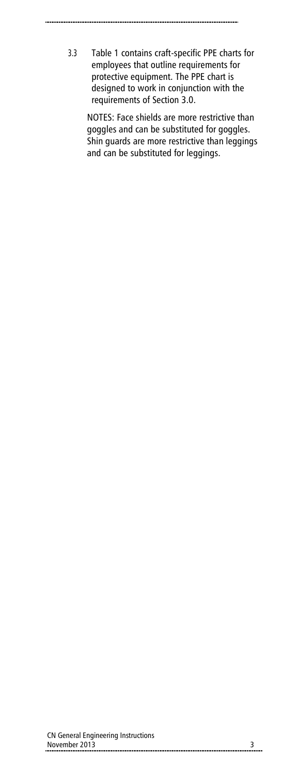- - 3.3 Table 1 contains craft-specific PPE charts for employees that outline requirements for protective equipment. The PPE chart is designed to work in conjunction with the requirements of Section 3.0.

NOTES: Face shields are more restrictive than goggles and can be substituted for goggles. Shin guards are more restrictive than leggings and can be substituted for leggings.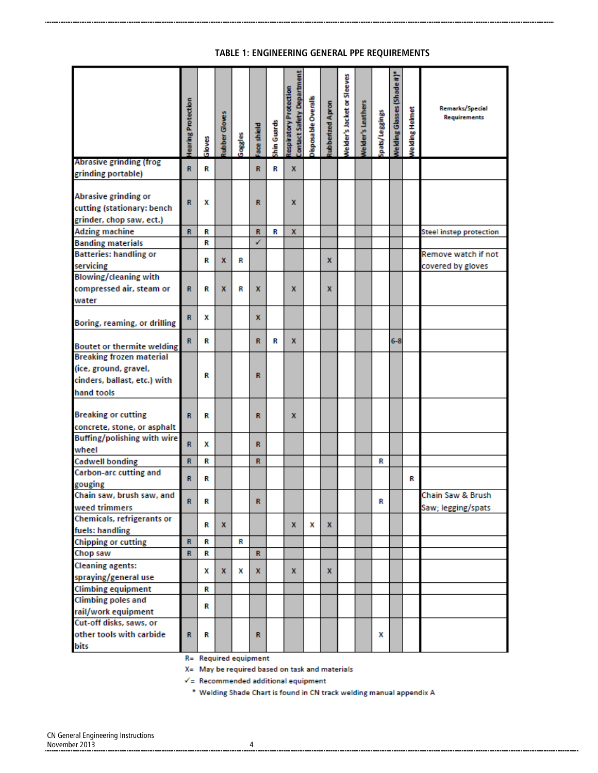#### **TABLE 1: ENGINEERING GENERAL PPE REQUIREMENTS**

|                                                                                                        | learing Protection | Gloves | ubber Gloves | Goggles | ace shield | shin Guards | Contact Safety Department<br>espiratory Protection | isposable Overalls | ubberized Apron | Velder's Jacket or Sleeves | Velder's Leathers | pats/Leggings | le Iding Glasses (Shade #)* | <b>Nelding Helmet</b> | <b>Remarks/Special</b><br><b>Requirements</b> |
|--------------------------------------------------------------------------------------------------------|--------------------|--------|--------------|---------|------------|-------------|----------------------------------------------------|--------------------|-----------------|----------------------------|-------------------|---------------|-----------------------------|-----------------------|-----------------------------------------------|
| Abrasive grinding (frog<br>grinding portable)                                                          | R                  | R      |              |         | R          | R           | x                                                  |                    |                 |                            |                   |               |                             |                       |                                               |
| Abrasive grinding or<br>cutting (stationary: bench<br>grinder, chop saw, ect.)                         | R                  | x      |              |         | R          |             | x                                                  |                    |                 |                            |                   |               |                             |                       |                                               |
| <b>Adzing machine</b>                                                                                  | R                  | R      |              |         | R          | R           | x                                                  |                    |                 |                            |                   |               |                             |                       | <b>Steel instep protection</b>                |
| <b>Banding materials</b>                                                                               |                    | R      |              |         | ✓          |             |                                                    |                    |                 |                            |                   |               |                             |                       |                                               |
| <b>Batteries: handling or</b><br>servicing                                                             |                    | R      | x            | R       |            |             |                                                    |                    | x               |                            |                   |               |                             |                       | Remove watch if not<br>covered by gloves      |
| <b>Blowing/cleaning with</b>                                                                           |                    |        |              |         |            |             |                                                    |                    |                 |                            |                   |               |                             |                       |                                               |
| compressed air, steam or                                                                               | R                  | R      | x            | R       | x          |             | x                                                  |                    | x               |                            |                   |               |                             |                       |                                               |
| water                                                                                                  |                    |        |              |         |            |             |                                                    |                    |                 |                            |                   |               |                             |                       |                                               |
| Boring, reaming, or drilling                                                                           | R                  | x      |              |         | x          |             |                                                    |                    |                 |                            |                   |               |                             |                       |                                               |
| <b>Boutet or thermite welding</b>                                                                      | R.                 | R      |              |         | R          | R           | x                                                  |                    |                 |                            |                   |               | $6-8$                       |                       |                                               |
| <b>Breaking frozen material</b><br>(ice, ground, gravel,<br>cinders, ballast, etc.) with<br>hand tools |                    | R      |              |         | R          |             |                                                    |                    |                 |                            |                   |               |                             |                       |                                               |
| <b>Breaking or cutting</b><br>concrete, stone, or asphalt                                              | R                  | R      |              |         | R          |             | x                                                  |                    |                 |                            |                   |               |                             |                       |                                               |
| Buffing/polishing with wire<br>wheel                                                                   | R                  | x      |              |         | R          |             |                                                    |                    |                 |                            |                   |               |                             |                       |                                               |
| <b>Cadwell bonding</b>                                                                                 | R                  | R      |              |         | R          |             |                                                    |                    |                 |                            |                   | R             |                             |                       |                                               |
| Carbon-arc cutting and<br>gouging                                                                      | R                  | R      |              |         |            |             |                                                    |                    |                 |                            |                   |               |                             | R                     |                                               |
| Chain saw, brush saw, and<br>weed trimmers                                                             | R                  | R      |              |         | R          |             |                                                    |                    |                 |                            |                   | R             |                             |                       | Chain Saw & Brush<br>Saw; legging/spats       |
| Chemicals, refrigerants or<br>fuels: handling                                                          |                    | R      | x            |         |            |             | x                                                  | x                  | X               |                            |                   |               |                             |                       |                                               |
| <b>Chipping or cutting</b>                                                                             | $\mathbb{R}$       | R      |              | R       |            |             |                                                    |                    |                 |                            |                   |               |                             |                       |                                               |
| Chop saw                                                                                               | $\mathbb{R}$       | R      |              |         | R.         |             |                                                    |                    |                 |                            |                   |               |                             |                       |                                               |
| <b>Cleaning agents:</b><br>spraying/general use                                                        |                    | x      | X            | x       | x          |             | x                                                  |                    | x               |                            |                   |               |                             |                       |                                               |
| <b>Climbing equipment</b>                                                                              |                    |        |              |         |            |             |                                                    |                    |                 |                            |                   |               |                             |                       |                                               |
| <b>Climbing poles and</b>                                                                              |                    | R      |              |         |            |             |                                                    |                    |                 |                            |                   |               |                             |                       |                                               |
| rail/work equipment                                                                                    |                    | R      |              |         |            |             |                                                    |                    |                 |                            |                   |               |                             |                       |                                               |
| Cut-off disks, saws, or                                                                                |                    |        |              |         |            |             |                                                    |                    |                 |                            |                   |               |                             |                       |                                               |
| other tools with carbide<br>bits                                                                       | R                  | R      |              |         | R          |             |                                                    |                    |                 |                            |                   | x             |                             |                       |                                               |

R= Required equipment

X= May be required based on task and materials

 $\checkmark$  = Recommended additional equipment

\* Welding Shade Chart is found in CN track welding manual appendix A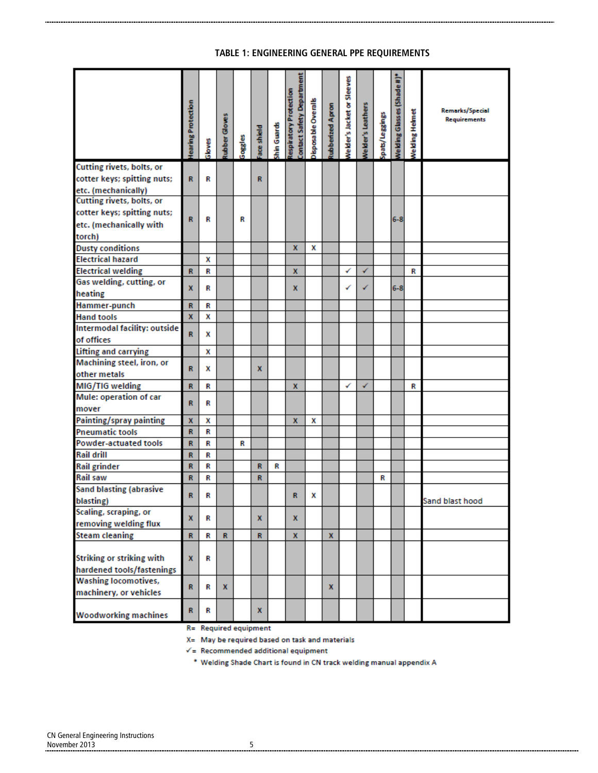#### **TABLE 1: ENGINEERING GENERAL PPE REQUIREMENTS**

|                                                                                               | learing Protection | Gloves | ubber Gloves | Goggles | ace shield | Shin Guards | <b>Contact Safety Department</b><br>lespiratory Protection | bisposable Overalls | ubberized Apron | <b>Nelder's Jacket or Sleeves</b> | <b>Velder's Leathers</b> | spats/Leggings | Velding Glasses (Shade#)* | <b>Nelding Helmet</b> | <b>Remarks/Special</b><br>Requirements |
|-----------------------------------------------------------------------------------------------|--------------------|--------|--------------|---------|------------|-------------|------------------------------------------------------------|---------------------|-----------------|-----------------------------------|--------------------------|----------------|---------------------------|-----------------------|----------------------------------------|
| Cutting rivets, bolts, or<br>cotter keys; spitting nuts;<br>etc. (mechanically)               | R                  | R      |              |         | R          |             |                                                            |                     |                 |                                   |                          |                |                           |                       |                                        |
| Cutting rivets, bolts, or<br>cotter keys; spitting nuts;<br>etc. (mechanically with<br>torch) | R                  | R      |              | R       |            |             |                                                            |                     |                 |                                   |                          |                | $6 - 8$                   |                       |                                        |
| <b>Dusty conditions</b>                                                                       |                    |        |              |         |            |             | x                                                          | x                   |                 |                                   |                          |                |                           |                       |                                        |
| <b>Electrical hazard</b>                                                                      |                    | x      |              |         |            |             |                                                            |                     |                 |                                   |                          |                |                           |                       |                                        |
| <b>Electrical welding</b>                                                                     | R                  | R      |              |         |            |             | x                                                          |                     |                 | ✓                                 | ✓                        |                |                           | R                     |                                        |
| Gas welding, cutting, or<br>heating                                                           | x                  | R      |              |         |            |             | x                                                          |                     |                 | ✓                                 | ✓                        |                | $6 - 8$                   |                       |                                        |
| Hammer-punch                                                                                  | R                  | R      |              |         |            |             |                                                            |                     |                 |                                   |                          |                |                           |                       |                                        |
| <b>Hand tools</b>                                                                             | X.                 | x      |              |         |            |             |                                                            |                     |                 |                                   |                          |                |                           |                       |                                        |
| Intermodal facility: outside<br>of offices                                                    | R                  | x      |              |         |            |             |                                                            |                     |                 |                                   |                          |                |                           |                       |                                        |
| Lifting and carrying                                                                          |                    | x      |              |         |            |             |                                                            |                     |                 |                                   |                          |                |                           |                       |                                        |
| Machining steel, iron, or<br>other metals                                                     | R                  | x      |              |         | x          |             |                                                            |                     |                 |                                   |                          |                |                           |                       |                                        |
| MIG/TIG welding                                                                               | R                  | R      |              |         |            |             | x                                                          |                     |                 | ✓                                 | ✓                        |                |                           | R                     |                                        |
| Mule: operation of car<br>mover                                                               | R                  | R      |              |         |            |             |                                                            |                     |                 |                                   |                          |                |                           |                       |                                        |
| Painting/spray painting                                                                       | x                  | x      |              |         |            |             | x                                                          | x                   |                 |                                   |                          |                |                           |                       |                                        |
| <b>Pneumatic tools</b>                                                                        | R                  | R      |              |         |            |             |                                                            |                     |                 |                                   |                          |                |                           |                       |                                        |
| <b>Powder-actuated tools</b>                                                                  | R                  | R      |              | R       |            |             |                                                            |                     |                 |                                   |                          |                |                           |                       |                                        |
| <b>Rail drill</b>                                                                             | R                  | R      |              |         |            |             |                                                            |                     |                 |                                   |                          |                |                           |                       |                                        |
| <b>Rail grinder</b>                                                                           | R                  | R      |              |         | R          | R           |                                                            |                     |                 |                                   |                          |                |                           |                       |                                        |
| <b>Rail saw</b>                                                                               | R                  | R      |              |         | R          |             |                                                            |                     |                 |                                   |                          | R              |                           |                       |                                        |
| <b>Sand blasting (abrasive</b><br>blasting)                                                   | R                  | R      |              |         |            |             | R                                                          | x                   |                 |                                   |                          |                |                           |                       | Sand blast hood                        |
| Scaling, scraping, or<br>removing welding flux                                                | x                  | R      |              |         | x          |             | x                                                          |                     |                 |                                   |                          |                |                           |                       |                                        |
| <b>Steam cleaning</b>                                                                         | R                  | R      | $\mathbf R$  |         | R          |             | $\mathbf x$                                                |                     | $\mathbf x$     |                                   |                          |                |                           |                       |                                        |
| <b>Striking or striking with</b><br>hardened tools/fastenings                                 | X                  | R      |              |         |            |             |                                                            |                     |                 |                                   |                          |                |                           |                       |                                        |
| <b>Washing locomotives,</b><br>machinery, or vehicles                                         | $\mathbb{R}$       | R      | $\mathbf{x}$ |         |            |             |                                                            |                     | $\mathbf{x}$    |                                   |                          |                |                           |                       |                                        |
| <b>Woodworking machines</b>                                                                   | R                  | R      |              |         | x          |             |                                                            |                     |                 |                                   |                          |                |                           |                       |                                        |

R= Required equipment

X= May be required based on task and materials

 $\checkmark$  = Recommended additional equipment

\* Welding Shade Chart is found in CN track welding manual appendix A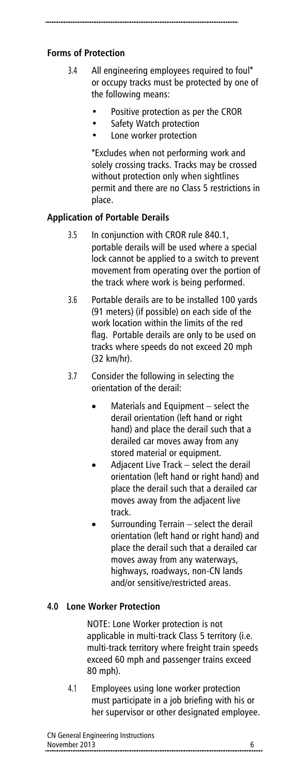### **Forms of Protection**

- 3.4 All engineering employees required to foul\* or occupy tracks must be protected by one of the following means:
	- Positive protection as per the CROR
	- Safety Watch protection
	- Lone worker protection

\*Excludes when not performing work and solely crossing tracks. Tracks may be crossed without protection only when sightlines permit and there are no Class 5 restrictions in place.

### **Application of Portable Derails**

- 3.5 In conjunction with CROR rule 840.1, portable derails will be used where a special lock cannot be applied to a switch to prevent movement from operating over the portion of the track where work is being performed.
- 3.6 Portable derails are to be installed 100 yards (91 meters) (if possible) on each side of the work location within the limits of the red flag. Portable derails are only to be used on tracks where speeds do not exceed 20 mph (32 km/hr).
- 3.7 Consider the following in selecting the orientation of the derail:
	- Materials and Equipment select the derail orientation (left hand or right hand) and place the derail such that a derailed car moves away from any stored material or equipment.
	- Adjacent Live Track select the derail orientation (left hand or right hand) and place the derail such that a derailed car moves away from the adjacent live track.
	- Surrounding Terrain select the derail orientation (left hand or right hand) and place the derail such that a derailed car moves away from any waterways, highways, roadways, non-CN lands and/or sensitive/restricted areas.

#### **4.0 Lone Worker Protection**

NOTE: Lone Worker protection is not applicable in multi-track Class 5 territory (i.e. multi-track territory where freight train speeds exceed 60 mph and passenger trains exceed 80 mph).

4.1 Employees using lone worker protection must participate in a job briefing with his or her supervisor or other designated employee.

| CN General Engineering Instructions                     |  |
|---------------------------------------------------------|--|
| November 2013<br>-------------------------------------- |  |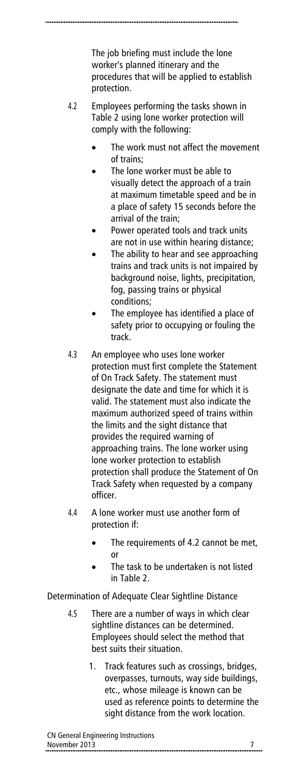The job briefing must include the lone worker's planned itinerary and the procedures that will be applied to establish protection.

- 4.2 Employees performing the tasks shown in Table 2 using lone worker protection will comply with the following:
	- The work must not affect the movement of trains;
	- The lone worker must be able to visually detect the approach of a train at maximum timetable speed and be in a place of safety 15 seconds before the arrival of the train;
	- Power operated tools and track units are not in use within hearing distance;
	- The ability to hear and see approaching trains and track units is not impaired by background noise, lights, precipitation, fog, passing trains or physical conditions;
	- The employee has identified a place of safety prior to occupying or fouling the track.
- 4.3 An employee who uses lone worker protection must first complete the Statement of On Track Safety. The statement must designate the date and time for which it is valid. The statement must also indicate the maximum authorized speed of trains within the limits and the sight distance that provides the required warning of approaching trains. The lone worker using lone worker protection to establish protection shall produce the Statement of On Track Safety when requested by a company officer.
- 4.4 A lone worker must use another form of protection if:
	- The requirements of 4.2 cannot be met, or
	- The task to be undertaken is not listed in Table 2.

Determination of Adequate Clear Sightline Distance

- 4.5 There are a number of ways in which clear sightline distances can be determined. Employees should select the method that best suits their situation.
	- 1. Track features such as crossings, bridges, overpasses, turnouts, way side buildings, etc., whose mileage is known can be used as reference points to determine the sight distance from the work location.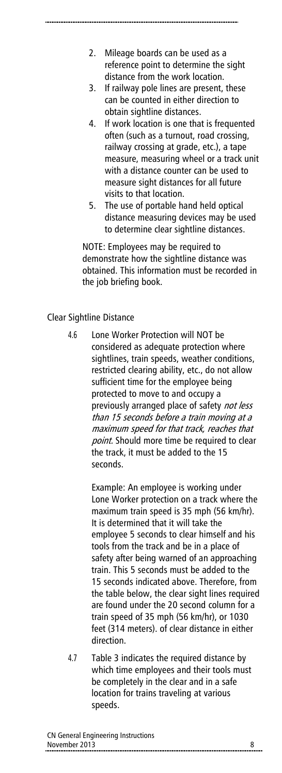- 2. Mileage boards can be used as a reference point to determine the sight distance from the work location.
- 3. If railway pole lines are present, these can be counted in either direction to obtain sightline distances.
- 4. If work location is one that is frequented often (such as a turnout, road crossing, railway crossing at grade, etc.), a tape measure, measuring wheel or a track unit with a distance counter can be used to measure sight distances for all future visits to that location.
- 5. The use of portable hand held optical distance measuring devices may be used to determine clear sightline distances.

NOTE: Employees may be required to demonstrate how the sightline distance was obtained. This information must be recorded in the job briefing book.

#### Clear Sightline Distance

4.6 Lone Worker Protection will NOT be considered as adequate protection where sightlines, train speeds, weather conditions, restricted clearing ability, etc., do not allow sufficient time for the employee being protected to move to and occupy a previously arranged place of safety not less than 15 seconds before a train moving at a maximum speed for that track, reaches that point. Should more time be required to clear the track, it must be added to the 15 seconds.

> Example: An employee is working under Lone Worker protection on a track where the maximum train speed is 35 mph (56 km/hr). It is determined that it will take the employee 5 seconds to clear himself and his tools from the track and be in a place of safety after being warned of an approaching train. This 5 seconds must be added to the 15 seconds indicated above. Therefore, from the table below, the clear sight lines required are found under the 20 second column for a train speed of 35 mph (56 km/hr), or 1030 feet (314 meters). of clear distance in either direction.

4.7 Table 3 indicates the required distance by which time employees and their tools must be completely in the clear and in a safe location for trains traveling at various speeds.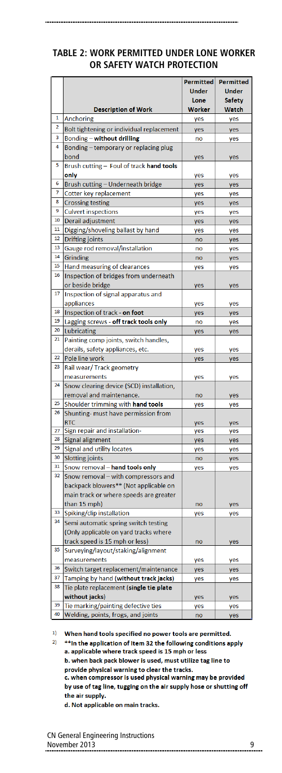#### **TABLE 2: WORK PERMITTED UNDER LONE WORKER OR SAFETY WATCH PROTECTION**

|                              |                                           | <b>Permitted</b> | <b>Permitted</b> |
|------------------------------|-------------------------------------------|------------------|------------------|
|                              |                                           | Under            | Under            |
|                              |                                           |                  |                  |
|                              |                                           | Lone             | <b>Safety</b>    |
|                              | <b>Description of Work</b>                | Worker           | Watch            |
| 1<br>$\overline{\mathbf{2}}$ | <b>Anchoring</b>                          | yes              | yes              |
|                              | Bolt tightening or individual replacement | yes              | yes              |
| 3                            | Bonding - without drilling                | no               | yes              |
| 4                            | Bonding – temporary or replacing plug     |                  |                  |
|                              | bond                                      | yes              | yes              |
| 5                            | Brush cutting - Foul of track hand tools  |                  |                  |
|                              | only                                      | yes              | yes              |
| 6                            | Brush cutting - Underneath bridge         | yes              | yes              |
| 7                            | Cotter key replacement                    | yes              | yes              |
| 8                            | <b>Crossing testing</b>                   | yes              | yes              |
| 9                            | <b>Culvert inspections</b>                | yes              | yes              |
| 10                           | Derail adjustment                         | yes              | yes              |
| 11                           | Digging/shoveling ballast by hand         | yes              | yes              |
| 12                           | Drifting joints                           | no               | yes              |
| 13                           | Gauge rod removal/installation            | no               | yes              |
| 14                           | Grinding                                  | no               | yes              |
| 15                           | Hand measuring of clearances              | yes              | yes              |
| 16                           | Inspection of bridges from underneath     |                  |                  |
|                              | or beside bridge                          | yes              | yes              |
| 17                           | Inspection of signal apparatus and        |                  |                  |
|                              | appliances                                | yes              | yes              |
| 18                           | Inspection of track - on foot             | yes              | yes              |
| 19                           | Lagging screws - off track tools only     | no               | yes              |
| 20                           | <b>Lubricating</b>                        | yes              | yes              |
| 21                           | Painting comp joints, switch handles,     |                  |                  |
|                              | derails, safety appliances, etc.          | yes              | yes              |
| 22                           | Pole line work                            | yes              | yes              |
| 23                           | Rail wear/Track geometry                  |                  |                  |
|                              | measurements                              | yes              | yes              |
| 24                           | Snow clearing device (SCD) installation,  |                  |                  |
|                              | removal and maintenance.                  | no               | yes              |
| 25                           | Shoulder trimming with hand tools         | yes              | yes              |
| 26                           | Shunting- must have permission from       |                  |                  |
|                              | <b>RTC</b>                                | yes              | yes              |
| 27                           | Sign repair and installation-             | yes              | yes              |
| 28                           | Signal alignment                          | yes              | yes              |
| 29                           | Signal and utility locates                | yes              | yes              |
| 30                           | <b>Slotting joints</b>                    | no               | yes              |
| 31                           | Snow removal - hand tools only            | yes              | yes              |
| 32                           | Snow removal - with compressors and       |                  |                  |
|                              | backpack blowers** (Not applicable on     |                  |                  |
|                              | main track or where speeds are greater    |                  |                  |
|                              | than 15 mph)                              | no               | yes              |
| 33                           | Spiking/clip installation                 | yes              | yes              |
| 34                           | Semi automatic spring switch testing      |                  |                  |
|                              | (Only applicable on yard tracks where     |                  |                  |
|                              | track speed is 15 mph or less)            | no               | yes              |
| 35                           | Surveying/layout/staking/alignment        |                  |                  |
|                              | measurements                              | yes              | yes              |
| 36                           | Switch target replacement/maintenance     | yes              | yes              |
| 37                           | Tamping by hand (without track jacks)     | yes              | yes              |
| 38                           | Tie plate replacement (single tie plate   |                  |                  |
|                              | without jacks)                            | yes              | yes              |
| 39                           | Tie marking/painting defective ties       | yes              | yes              |
| 40                           | Welding, points, frogs, and joints        | no               | yes              |

 $1)$ When hand tools specified no power tools are permitted.  $2)$ 

\*\* In the application of Item 32 the following conditions apply a. applicable where track speed is 15 mph or less b. when back pack blower is used, must utilize tag line to provide physical warning to clear the tracks. c. when compressor is used physical warning may be provided by use of tag line, tugging on the air supply hose or shutting off the air supply.

d. Not applicable on main tracks.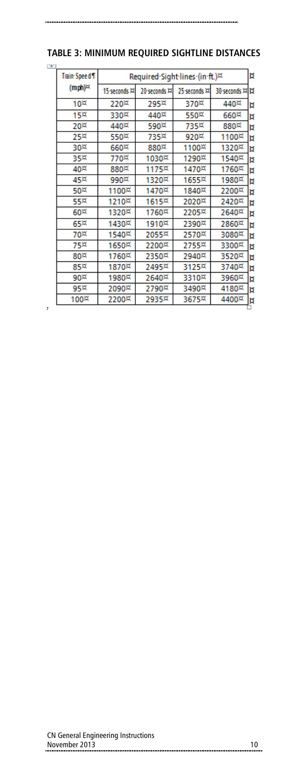| - 11 |                                         |               |                |                                |               |   |
|------|-----------------------------------------|---------------|----------------|--------------------------------|---------------|---|
|      | Train-Speed T                           |               |                | Required Sight lines (in ft.)¤ |               | N |
|      | $(mph)$ <sup><math>\approx</math></sup> | 15·seconds 耳  | 20-seconds ¤   | 25·seconds 耳                   | 30-seconds 耳其 |   |
|      | $10\text{K}$                            | $220\text{M}$ | 295¤           | 370¤                           | 440¤          | Ħ |
|      | 15¤                                     | 330¤          | 440¤           | 550¤                           | 660¤          | u |
|      | $20\text{M}$                            | 440¤          | 590¤           | 735¤                           | $880\text{M}$ | Ħ |
|      | 25 <sup>kt</sup>                        | 550¤          | 735¤           | 920¤                           | 1100¤         | b |
|      | 30¤                                     | $660\text{M}$ | 880¤           | 1100¤                          | 1320¤         | Ħ |
|      | 35¤                                     | 770¤          | 1030¤          | 1290¤                          | 1540¤         | b |
|      | $40\text{K}$                            | 880¤          | 1175¤          | 1470¤                          | 1760¤         | Ħ |
|      | 45¤                                     | 990¤          | 1320¤          | 1655¤                          | 1980¤         | b |
|      | 50¤                                     | 1100¤         | 1470¤          | 1840¤                          | 2200¤         | Ħ |
|      | 55¤                                     | 1210¤         | $1615\text{X}$ | 2020¤                          | 2420¤         | Ħ |
|      | 60¤                                     | 1320¤         | 1760¤          | 2205¤                          | 2640¤         | Ħ |
|      | 65¤                                     | 1430¤         | 1910¤          | 2390¤                          | 2860¤         | Þ |
|      | 70¤                                     | 1540¤         | 2055¤          | 2570¤                          | 3080¤         | Ħ |
|      | 75¤                                     | 1650¤         | 2200¤          | 2755¤                          | 3300¤         | Ħ |
|      | 80 <sup>st</sup>                        | 1760¤         | 2350¤          | 2940¤                          | 3520¤         | u |
|      | 85¤                                     | 1870¤         | 2495¤          | 3125¤                          | 3740¤         | Ħ |
|      | 90 <sup>2</sup>                         | 1980¤         | 2640¤          | 3310¤                          | 3960¤         | u |
|      | $95\text{M}$                            | 2090¤         | 2790¤          | 3490¤                          | 4180¤         | д |

2935¤

100¤

ł

2200¤

3675¤

4400¤ þ

# **TABLE 3: MINIMUM REQUIRED SIGHTLINE DISTANCES**

CN General Engineering Instructions November 2013 10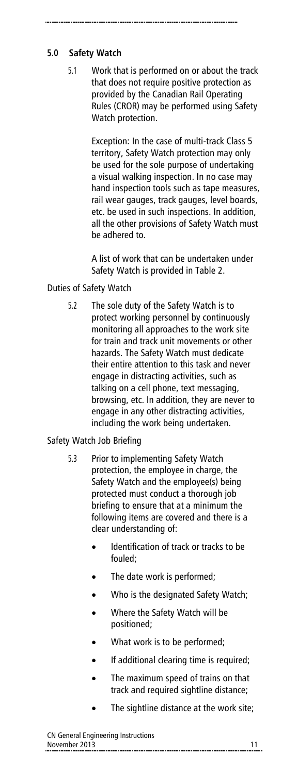# **5.0 Safety Watch**

5.1 Work that is performed on or about the track that does not require positive protection as provided by the Canadian Rail Operating Rules (CROR) may be performed using Safety Watch protection.

> Exception: In the case of multi-track Class 5 territory, Safety Watch protection may only be used for the sole purpose of undertaking a visual walking inspection. In no case may hand inspection tools such as tape measures, rail wear gauges, track gauges, level boards, etc. be used in such inspections. In addition, all the other provisions of Safety Watch must be adhered to.

A list of work that can be undertaken under Safety Watch is provided in Table 2.

# Duties of Safety Watch

5.2 The sole duty of the Safety Watch is to protect working personnel by continuously monitoring all approaches to the work site for train and track unit movements or other hazards. The Safety Watch must dedicate their entire attention to this task and never engage in distracting activities, such as talking on a cell phone, text messaging, browsing, etc. In addition, they are never to engage in any other distracting activities, including the work being undertaken.

# Safety Watch Job Briefing

- 5.3 Prior to implementing Safety Watch protection, the employee in charge, the Safety Watch and the employee(s) being protected must conduct a thorough job briefing to ensure that at a minimum the following items are covered and there is a clear understanding of:
	- Identification of track or tracks to be fouled;
	- The date work is performed;
	- Who is the designated Safety Watch;
	- Where the Safety Watch will be positioned;
	- What work is to be performed;
	- If additional clearing time is required;
	- The maximum speed of trains on that track and required sightline distance;
	- The sightline distance at the work site;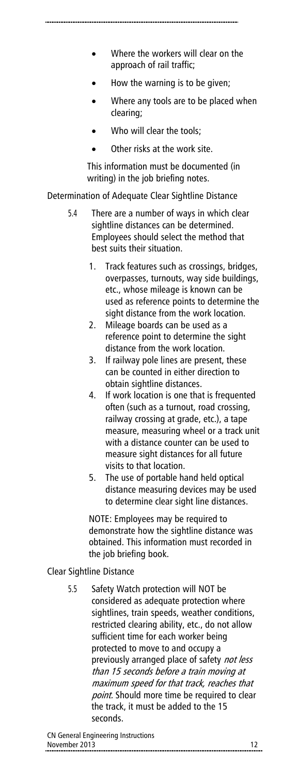- Where the workers will clear on the approach of rail traffic;
- How the warning is to be given;
- Where any tools are to be placed when clearing;
- Who will clear the tools;
- Other risks at the work site.

This information must be documented (in writing) in the job briefing notes.

Determination of Adequate Clear Sightline Distance

- 5.4 There are a number of ways in which clear sightline distances can be determined. Employees should select the method that best suits their situation.
	- 1. Track features such as crossings, bridges, overpasses, turnouts, way side buildings, etc., whose mileage is known can be used as reference points to determine the sight distance from the work location.
	- 2. Mileage boards can be used as a reference point to determine the sight distance from the work location.
	- 3. If railway pole lines are present, these can be counted in either direction to obtain sightline distances.
	- 4. If work location is one that is frequented often (such as a turnout, road crossing, railway crossing at grade, etc.), a tape measure, measuring wheel or a track unit with a distance counter can be used to measure sight distances for all future visits to that location.
	- 5. The use of portable hand held optical distance measuring devices may be used to determine clear sight line distances.

NOTE: Employees may be required to demonstrate how the sightline distance was obtained. This information must recorded in the job briefing book.

# Clear Sightline Distance

5.5 Safety Watch protection will NOT be considered as adequate protection where sightlines, train speeds, weather conditions, restricted clearing ability, etc., do not allow sufficient time for each worker being protected to move to and occupy a previously arranged place of safety not less than 15 seconds before a train moving at maximum speed for that track, reaches that point. Should more time be required to clear the track, it must be added to the 15 seconds.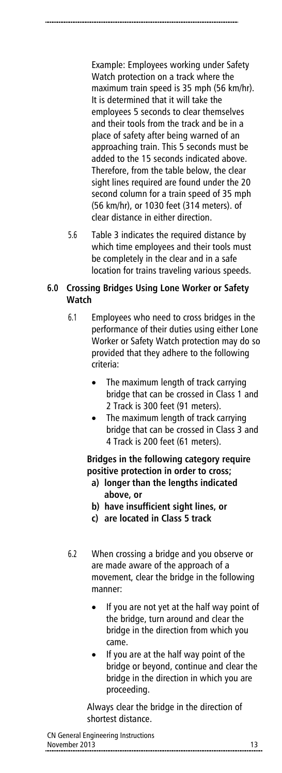Example: Employees working under Safety Watch protection on a track where the maximum train speed is 35 mph (56 km/hr). It is determined that it will take the employees 5 seconds to clear themselves and their tools from the track and be in a place of safety after being warned of an approaching train. This 5 seconds must be added to the 15 seconds indicated above.

Therefore, from the table below, the clear sight lines required are found under the 20 second column for a train speed of 35 mph (56 km/hr), or 1030 feet (314 meters). of clear distance in either direction.

5.6 Table 3 indicates the required distance by which time employees and their tools must be completely in the clear and in a safe location for trains traveling various speeds.

### **6.0 Crossing Bridges Using Lone Worker or Safety Watch**

- 6.1 Employees who need to cross bridges in the performance of their duties using either Lone Worker or Safety Watch protection may do so provided that they adhere to the following criteria:
	- The maximum length of track carrying bridge that can be crossed in Class 1 and 2 Track is 300 feet (91 meters).
	- The maximum length of track carrying bridge that can be crossed in Class 3 and 4 Track is 200 feet (61 meters).

**Bridges in the following category require positive protection in order to cross;**

- **a) longer than the lengths indicated above, or**
- **b) have insufficient sight lines, or**
- **c) are located in Class 5 track**
- 6.2 When crossing a bridge and you observe or are made aware of the approach of a movement, clear the bridge in the following manner:
	- If you are not yet at the half way point of the bridge, turn around and clear the bridge in the direction from which you came.
	- If you are at the half way point of the bridge or beyond, continue and clear the bridge in the direction in which you are proceeding.

Always clear the bridge in the direction of shortest distance.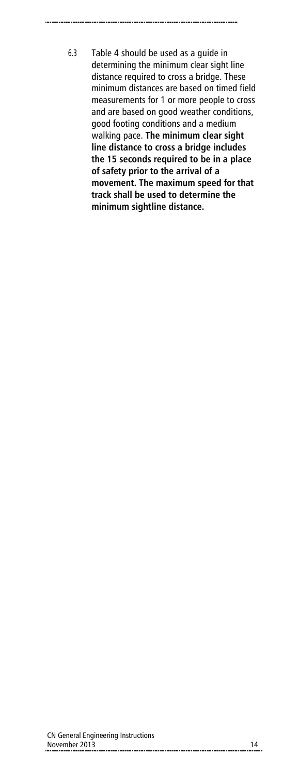6.3 Table 4 should be used as a guide in determining the minimum clear sight line distance required to cross a bridge. These minimum distances are based on timed field measurements for 1 or more people to cross and are based on good weather conditions, good footing conditions and a medium walking pace. **The minimum clear sight line distance to cross a bridge includes the 15 seconds required to be in a place of safety prior to the arrival of a movement. The maximum speed for that track shall be used to determine the minimum sightline distance.**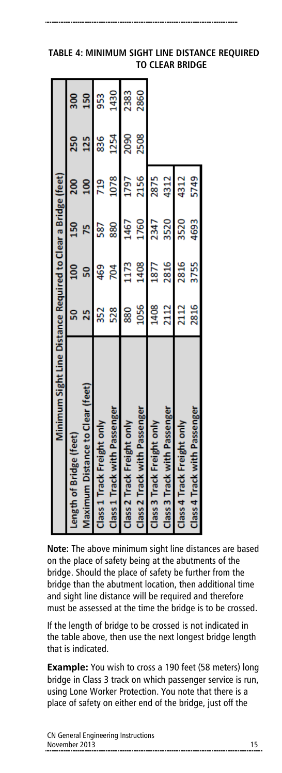| Minimum Sight Line Distance Required to Clear a Bridge (feet) |      |                  |      |      |      |          |
|---------------------------------------------------------------|------|------------------|------|------|------|----------|
| Length of Bridge (feet)                                       | 50   | $\frac{100}{20}$ | 150  | 200  | 250  | <u>ន</u> |
| Maximum Distance to Clear (feet)                              | 55   | 50               |      |      | 125  | 150      |
| Class 1 Track Freight only                                    | 352  | 469              | 587  | 719  | 836  | 953      |
| Class 1 Track with Passenger                                  | 528  | 204              | 880  | 1078 | 1254 | 1430     |
| Class 2 Track Freight only                                    | 880  | 1173             | 1467 | 1797 | 2090 | 2383     |
| Class 2 Track with Passenger                                  | 1056 | 1408             | 1760 | 2156 | 2508 | 2860     |
| Class 3 Track Freight only                                    | 1408 | 1877             | 2347 | 2875 |      |          |
| Class 3 Track with Passenger                                  | 2112 | 2816             | 3520 | 4312 |      |          |
| Class 4 Track Freight only                                    | 2112 | 2816             | 3520 | 4312 |      |          |
| Class 4 Track with Passenger                                  | 2816 | 3755             | 4693 | 5749 |      |          |

# **TABLE 4: MINIMUM SIGHT LINE DISTANCE REQUIRED TO CLEAR BRIDGE**

**Note:** The above minimum sight line distances are based on the place of safety being at the abutments of the bridge. Should the place of safety be further from the bridge than the abutment location, then additional time and sight line distance will be required and therefore must be assessed at the time the bridge is to be crossed.

If the length of bridge to be crossed is not indicated in the table above, then use the next longest bridge length that is indicated.

**Example:** You wish to cross a 190 feet (58 meters) long bridge in Class 3 track on which passenger service is run, using Lone Worker Protection. You note that there is a place of safety on either end of the bridge, just off the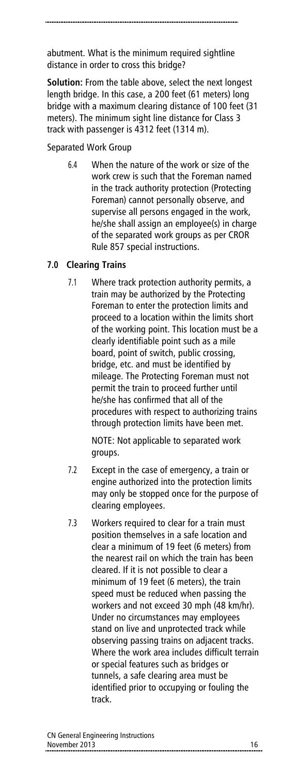abutment. What is the minimum required sightline distance in order to cross this bridge?

**Solution:** From the table above, select the next longest length bridge. In this case, a 200 feet (61 meters) long bridge with a maximum clearing distance of 100 feet (31 meters). The minimum sight line distance for Class 3 track with passenger is 4312 feet (1314 m).

Separated Work Group

6.4 When the nature of the work or size of the work crew is such that the Foreman named in the track authority protection (Protecting Foreman) cannot personally observe, and supervise all persons engaged in the work, he/she shall assign an employee(s) in charge of the separated work groups as per CROR Rule 857 special instructions.

# **7.0 Clearing Trains**

7.1 Where track protection authority permits, a train may be authorized by the Protecting Foreman to enter the protection limits and proceed to a location within the limits short of the working point. This location must be a clearly identifiable point such as a mile board, point of switch, public crossing, bridge, etc. and must be identified by mileage. The Protecting Foreman must not permit the train to proceed further until he/she has confirmed that all of the procedures with respect to authorizing trains through protection limits have been met.

> NOTE: Not applicable to separated work groups.

- 7.2 Except in the case of emergency, a train or engine authorized into the protection limits may only be stopped once for the purpose of clearing employees.
- 7.3 Workers required to clear for a train must position themselves in a safe location and clear a minimum of 19 feet (6 meters) from the nearest rail on which the train has been cleared. If it is not possible to clear a minimum of 19 feet (6 meters), the train speed must be reduced when passing the workers and not exceed 30 mph (48 km/hr). Under no circumstances may employees stand on live and unprotected track while observing passing trains on adjacent tracks. Where the work area includes difficult terrain or special features such as bridges or tunnels, a safe clearing area must be identified prior to occupying or fouling the track.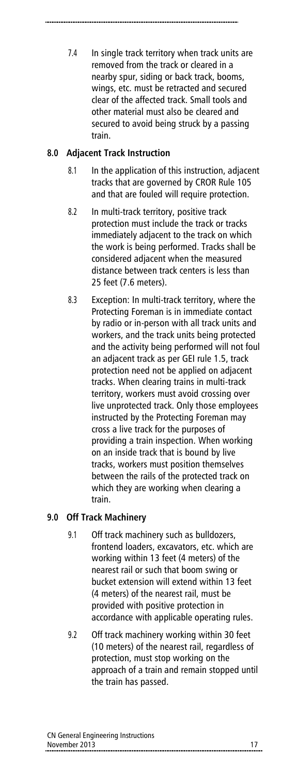7.4 In single track territory when track units are removed from the track or cleared in a nearby spur, siding or back track, booms, wings, etc. must be retracted and secured clear of the affected track. Small tools and other material must also be cleared and secured to avoid being struck by a passing train.

# **8.0 Adjacent Track Instruction**

- 8.1 In the application of this instruction, adjacent tracks that are governed by CROR Rule 105 and that are fouled will require protection.
- 8.2 In multi-track territory, positive track protection must include the track or tracks immediately adjacent to the track on which the work is being performed. Tracks shall be considered adjacent when the measured distance between track centers is less than 25 feet (7.6 meters).
- 8.3 Exception: In multi-track territory, where the Protecting Foreman is in immediate contact by radio or in-person with all track units and workers, and the track units being protected and the activity being performed will not foul an adjacent track as per GEI rule 1.5, track protection need not be applied on adjacent tracks. When clearing trains in multi-track territory, workers must avoid crossing over live unprotected track. Only those employees instructed by the Protecting Foreman may cross a live track for the purposes of providing a train inspection. When working on an inside track that is bound by live tracks, workers must position themselves between the rails of the protected track on which they are working when clearing a train.

# **9.0 Off Track Machinery**

- 9.1 Off track machinery such as bulldozers, frontend loaders, excavators, etc. which are working within 13 feet (4 meters) of the nearest rail or such that boom swing or bucket extension will extend within 13 feet (4 meters) of the nearest rail, must be provided with positive protection in accordance with applicable operating rules.
- 9.2 Off track machinery working within 30 feet (10 meters) of the nearest rail, regardless of protection, must stop working on the approach of a train and remain stopped until the train has passed.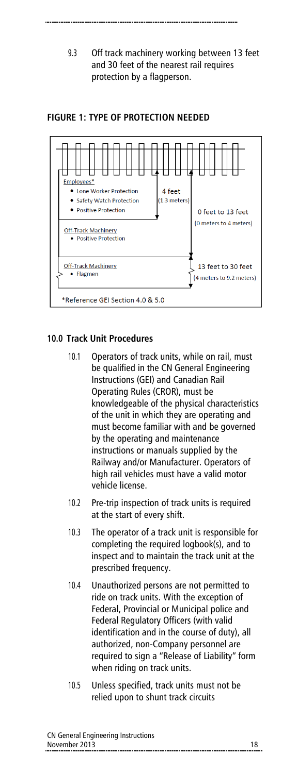9.3 Off track machinery working between 13 feet and 30 feet of the nearest rail requires protection by a flagperson.

### **FIGURE 1: TYPE OF PROTECTION NEEDED**



### **10.0 Track Unit Procedures**

- 10.1 Operators of track units, while on rail, must be qualified in the CN General Engineering Instructions (GEI) and Canadian Rail Operating Rules (CROR), must be knowledgeable of the physical characteristics of the unit in which they are operating and must become familiar with and be governed by the operating and maintenance instructions or manuals supplied by the Railway and/or Manufacturer. Operators of high rail vehicles must have a valid motor vehicle license.
- 10.2 Pre-trip inspection of track units is required at the start of every shift.
- 10.3 The operator of a track unit is responsible for completing the required logbook(s), and to inspect and to maintain the track unit at the prescribed frequency.
- 10.4 Unauthorized persons are not permitted to ride on track units. With the exception of Federal, Provincial or Municipal police and Federal Regulatory Officers (with valid identification and in the course of duty), all authorized, non-Company personnel are required to sign a "Release of Liability" form when riding on track units.
- 10.5 Unless specified, track units must not be relied upon to shunt track circuits

| CN General Engineering Instructions |  |
|-------------------------------------|--|
| November 2013                       |  |
|                                     |  |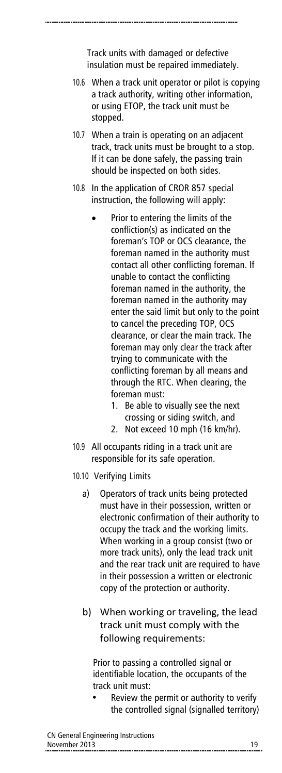Track units with damaged or defective insulation must be repaired immediately.

- 10.6 When a track unit operator or pilot is copying a track authority, writing other information, or using ETOP, the track unit must be stopped.
- 10.7 When a train is operating on an adjacent track, track units must be brought to a stop. If it can be done safely, the passing train should be inspected on both sides.
- 10.8 In the application of CROR 857 special instruction, the following will apply:
	- Prior to entering the limits of the confliction(s) as indicated on the foreman's TOP or OCS clearance, the foreman named in the authority must contact all other conflicting foreman. If unable to contact the conflicting foreman named in the authority, the foreman named in the authority may enter the said limit but only to the point to cancel the preceding TOP, OCS clearance, or clear the main track. The foreman may only clear the track after trying to communicate with the conflicting foreman by all means and through the RTC. When clearing, the foreman must:
		- 1. Be able to visually see the next crossing or siding switch, and
		- 2. Not exceed 10 mph (16 km/hr).
- 10.9 All occupants riding in a track unit are responsible for its safe operation.
- 10.10 Verifying Limits
	- a) Operators of track units being protected must have in their possession, written or electronic confirmation of their authority to occupy the track and the working limits. When working in a group consist (two or more track units), only the lead track unit and the rear track unit are required to have in their possession a written or electronic copy of the protection or authority.
	- b) When working or traveling, the lead track unit must comply with the following requirements:

Prior to passing a controlled signal or identifiable location, the occupants of the track unit must:

• Review the permit or authority to verify the controlled signal (signalled territory)

|               | CN General Engineering Instructions |
|---------------|-------------------------------------|
| November 2013 |                                     |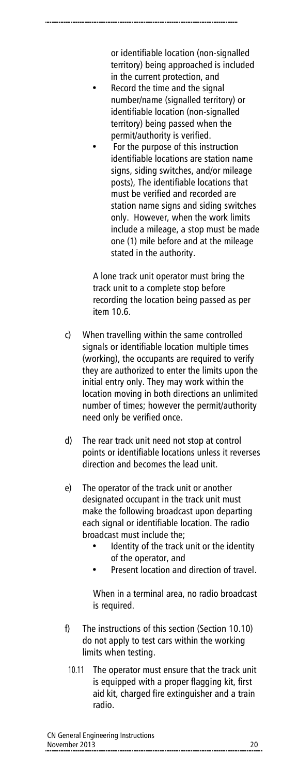or identifiable location (non-signalled territory) being approached is included in the current protection, and

- Record the time and the signal number/name (signalled territory) or identifiable location (non-signalled territory) being passed when the permit/authority is verified.
- For the purpose of this instruction identifiable locations are station name signs, siding switches, and/or mileage posts), The identifiable locations that must be verified and recorded are station name signs and siding switches only. However, when the work limits include a mileage, a stop must be made one (1) mile before and at the mileage stated in the authority.

A lone track unit operator must bring the track unit to a complete stop before recording the location being passed as per item 10.6.

- c) When travelling within the same controlled signals or identifiable location multiple times (working), the occupants are required to verify they are authorized to enter the limits upon the initial entry only. They may work within the location moving in both directions an unlimited number of times; however the permit/authority need only be verified once.
- d) The rear track unit need not stop at control points or identifiable locations unless it reverses direction and becomes the lead unit.
- e) The operator of the track unit or another designated occupant in the track unit must make the following broadcast upon departing each signal or identifiable location. The radio broadcast must include the;
	- Identity of the track unit or the identity of the operator, and
	- Present location and direction of travel.

When in a terminal area, no radio broadcast is required.

- f) The instructions of this section (Section 10.10) do not apply to test cars within the working limits when testing.
	- 10.11 The operator must ensure that the track unit is equipped with a proper flagging kit, first aid kit, charged fire extinguisher and a train radio.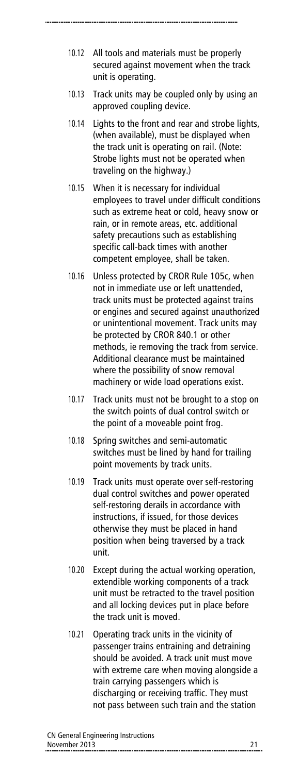- 10.12 All tools and materials must be properly secured against movement when the track unit is operating.
- 10.13 Track units may be coupled only by using an approved coupling device.
- 10.14 Lights to the front and rear and strobe lights, (when available), must be displayed when the track unit is operating on rail. (Note: Strobe lights must not be operated when traveling on the highway.)
- 10.15 When it is necessary for individual employees to travel under difficult conditions such as extreme heat or cold, heavy snow or rain, or in remote areas, etc. additional safety precautions such as establishing specific call-back times with another competent employee, shall be taken.
- 10.16 Unless protected by CROR Rule 105c, when not in immediate use or left unattended, track units must be protected against trains or engines and secured against unauthorized or unintentional movement. Track units may be protected by CROR 840.1 or other methods, ie removing the track from service. Additional clearance must be maintained where the possibility of snow removal machinery or wide load operations exist.
- 10.17 Track units must not be brought to a stop on the switch points of dual control switch or the point of a moveable point frog.
- 10.18 Spring switches and semi-automatic switches must be lined by hand for trailing point movements by track units.
- 10.19 Track units must operate over self-restoring dual control switches and power operated self-restoring derails in accordance with instructions, if issued, for those devices otherwise they must be placed in hand position when being traversed by a track unit.
- 10.20 Except during the actual working operation, extendible working components of a track unit must be retracted to the travel position and all locking devices put in place before the track unit is moved.
- 10.21 Operating track units in the vicinity of passenger trains entraining and detraining should be avoided. A track unit must move with extreme care when moving alongside a train carrying passengers which is discharging or receiving traffic. They must not pass between such train and the station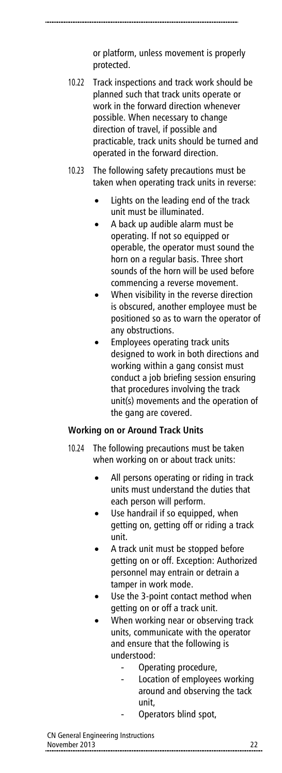or platform, unless movement is properly protected.

- 10.22 Track inspections and track work should be planned such that track units operate or work in the forward direction whenever possible. When necessary to change direction of travel, if possible and practicable, track units should be turned and operated in the forward direction.
- 10.23 The following safety precautions must be taken when operating track units in reverse:
	- Lights on the leading end of the track unit must be illuminated.
	- A back up audible alarm must be operating. If not so equipped or operable, the operator must sound the horn on a regular basis. Three short sounds of the horn will be used before commencing a reverse movement.
	- When visibility in the reverse direction is obscured, another employee must be positioned so as to warn the operator of any obstructions.
	- Employees operating track units designed to work in both directions and working within a gang consist must conduct a job briefing session ensuring that procedures involving the track unit(s) movements and the operation of the gang are covered.

#### **Working on or Around Track Units**

- 10.24 The following precautions must be taken when working on or about track units:
	- All persons operating or riding in track units must understand the duties that each person will perform.
	- Use handrail if so equipped, when getting on, getting off or riding a track unit.
	- A track unit must be stopped before getting on or off. Exception: Authorized personnel may entrain or detrain a tamper in work mode.
	- Use the 3-point contact method when getting on or off a track unit.
	- When working near or observing track units, communicate with the operator and ensure that the following is understood:
		- Operating procedure,
		- Location of employees working around and observing the tack unit,
			- Operators blind spot,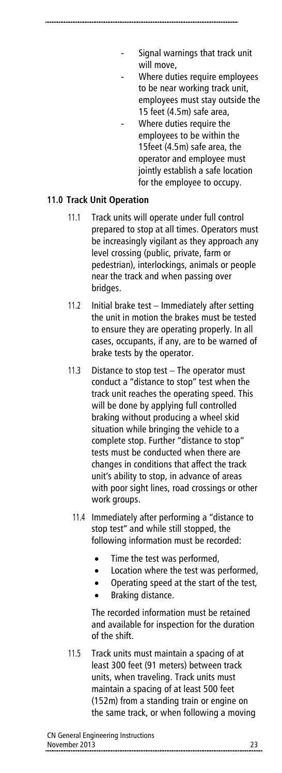- Signal warnings that track unit will move,
- Where duties require employees to be near working track unit, employees must stay outside the 15 feet (4.5m) safe area,
- Where duties require the employees to be within the 15feet (4.5m) safe area, the operator and employee must jointly establish a safe location for the employee to occupy.

# **11.0 Track Unit Operation**

- 11.1 Track units will operate under full control prepared to stop at all times. Operators must be increasingly vigilant as they approach any level crossing (public, private, farm or pedestrian), interlockings, animals or people near the track and when passing over bridges.
- 11.2 Initial brake test Immediately after setting the unit in motion the brakes must be tested to ensure they are operating properly. In all cases, occupants, if any, are to be warned of brake tests by the operator.
- 11.3 Distance to stop test The operator must conduct a "distance to stop" test when the track unit reaches the operating speed. This will be done by applying full controlled braking without producing a wheel skid situation while bringing the vehicle to a complete stop. Further "distance to stop" tests must be conducted when there are changes in conditions that affect the track unit's ability to stop, in advance of areas with poor sight lines, road crossings or other work groups.
	- 11.4 Immediately after performing a "distance to stop test" and while still stopped, the following information must be recorded:
		- Time the test was performed,
		- Location where the test was performed,
		- Operating speed at the start of the test,
		- Braking distance.

The recorded information must be retained and available for inspection for the duration of the shift.

11.5 Track units must maintain a spacing of at least 300 feet (91 meters) between track units, when traveling. Track units must maintain a spacing of at least 500 feet (152m) from a standing train or engine on the same track, or when following a moving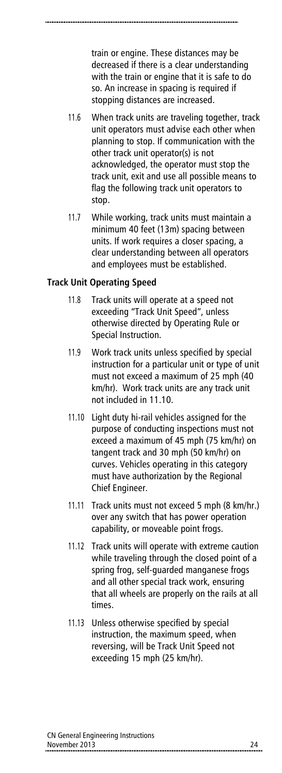train or engine. These distances may be decreased if there is a clear understanding with the train or engine that it is safe to do so. An increase in spacing is required if stopping distances are increased.

- 11.6 When track units are traveling together, track unit operators must advise each other when planning to stop. If communication with the other track unit operator(s) is not acknowledged, the operator must stop the track unit, exit and use all possible means to flag the following track unit operators to stop.
- 11.7 While working, track units must maintain a minimum 40 feet (13m) spacing between units. If work requires a closer spacing, a clear understanding between all operators and employees must be established.

### **Track Unit Operating Speed**

- 11.8 Track units will operate at a speed not exceeding "Track Unit Speed", unless otherwise directed by Operating Rule or Special Instruction.
- 11.9 Work track units unless specified by special instruction for a particular unit or type of unit must not exceed a maximum of 25 mph (40 km/hr). Work track units are any track unit not included in 11.10.
- 11.10 Light duty hi-rail vehicles assigned for the purpose of conducting inspections must not exceed a maximum of 45 mph (75 km/hr) on tangent track and 30 mph (50 km/hr) on curves. Vehicles operating in this category must have authorization by the Regional Chief Engineer.
- 11.11 Track units must not exceed 5 mph (8 km/hr.) over any switch that has power operation capability, or moveable point frogs.
- 11.12 Track units will operate with extreme caution while traveling through the closed point of a spring frog, self-guarded manganese frogs and all other special track work, ensuring that all wheels are properly on the rails at all times.
- 11.13 Unless otherwise specified by special instruction, the maximum speed, when reversing, will be Track Unit Speed not exceeding 15 mph (25 km/hr).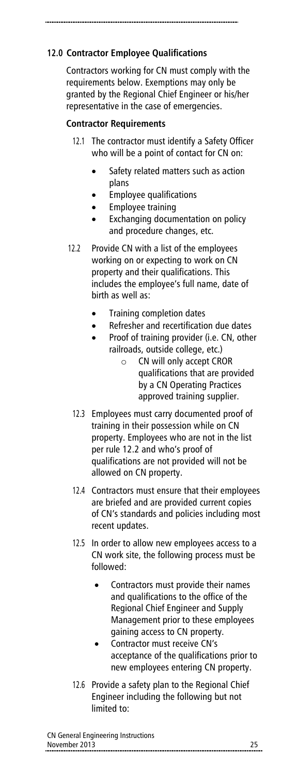# **12.0 Contractor Employee Qualifications**

Contractors working for CN must comply with the requirements below. Exemptions may only be granted by the Regional Chief Engineer or his/her representative in the case of emergencies.

### **Contractor Requirements**

- 12.1 The contractor must identify a Safety Officer who will be a point of contact for CN on:
	- Safety related matters such as action plans
	- Employee qualifications
	- Employee training
	- Exchanging documentation on policy and procedure changes, etc.
- 12.2 Provide CN with a list of the employees working on or expecting to work on CN property and their qualifications. This includes the employee's full name, date of birth as well as:
	- Training completion dates
	- Refresher and recertification due dates
	- Proof of training provider (i.e. CN, other railroads, outside college, etc.)
		- o CN will only accept CROR qualifications that are provided by a CN Operating Practices approved training supplier.
	- 12.3 Employees must carry documented proof of training in their possession while on CN property. Employees who are not in the list per rule 12.2 and who's proof of qualifications are not provided will not be allowed on CN property.
	- 12.4 Contractors must ensure that their employees are briefed and are provided current copies of CN's standards and policies including most recent updates.
	- 12.5 In order to allow new employees access to a CN work site, the following process must be followed:
		- Contractors must provide their names and qualifications to the office of the Regional Chief Engineer and Supply Management prior to these employees gaining access to CN property.
		- Contractor must receive CN's acceptance of the qualifications prior to new employees entering CN property.
	- 12.6 Provide a safety plan to the Regional Chief Engineer including the following but not limited to:

| CN General Engineering Instructions |  |
|-------------------------------------|--|
| November 2013                       |  |
|                                     |  |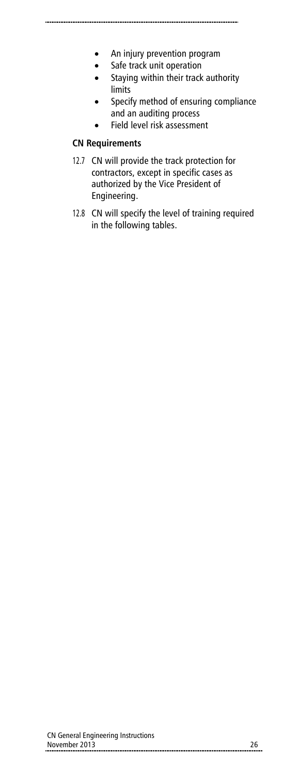- An injury prevention program
- Safe track unit operation
- Staying within their track authority limits
- Specify method of ensuring compliance and an auditing process
- Field level risk assessment

#### **CN Requirements**

- 12.7 CN will provide the track protection for contractors, except in specific cases as authorized by the Vice President of Engineering.
- 12.8 CN will specify the level of training required in the following tables.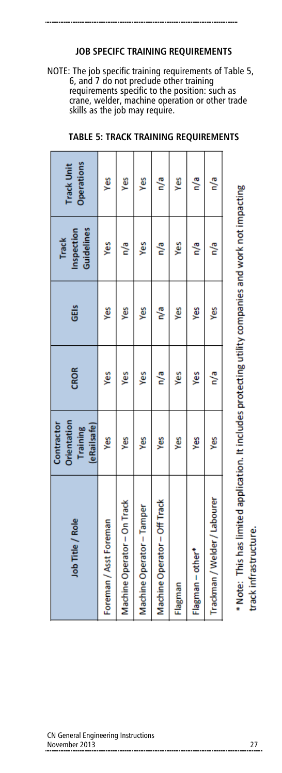#### **JOB SPECIFC TRAINING REQUIREMENTS**

NOTE: The job specific training requirements of Table 5, 6, and 7 do not preclude other training requirements specific to the position: such as crane, welder, machine operation or other trade skills as the job may require.

| Job Title / Role                                                                                      | Orientation<br>Contractor<br>(eRailsafe)<br>Training | <b>CROR</b> | GEIS | Guidelines<br>Inspection<br><b>Track</b> | Operations<br><b>Track Unit</b> |
|-------------------------------------------------------------------------------------------------------|------------------------------------------------------|-------------|------|------------------------------------------|---------------------------------|
| Foreman / Asst Foreman                                                                                | Š                                                    | Yes         | Š    | Yes                                      | Yes                             |
| Machine Operator - On Track                                                                           | Š                                                    | Š           | Š    | n/a                                      | Yes                             |
| Machine Operator - Tamper                                                                             | Š                                                    | Yes         | Š    | Yes                                      | yes                             |
| Machine Operator - Off Track                                                                          | Š                                                    | n/a         | n/a  | e\a                                      | n/a                             |
| Flagman                                                                                               | Š                                                    | yes         | Š    | yes                                      | Š                               |
| Flagman - other*                                                                                      | Š                                                    | yes         | Š    | n/a                                      | n/a                             |
| Trackman / Welder / Labourer                                                                          | Š                                                    | n/a         | Š    | n/a                                      | n/a                             |
| * Note: This has limited application. It includes protecting utility companies and work not impacting |                                                      |             |      |                                          |                                 |

#### **TABLE 5: TRACK TRAINING REQUIREMENTS**

track infrastructure.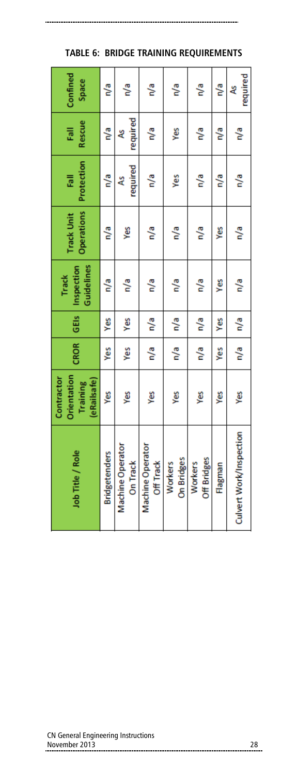| Confined<br>Space                                    | e/a                  | n/a                                 | n/a                                  | e/a                   | e/a                    | n/a     | required<br>L           |
|------------------------------------------------------|----------------------|-------------------------------------|--------------------------------------|-----------------------|------------------------|---------|-------------------------|
| Rescue<br>Fall                                       | e/a                  | required<br>L                       | n/a                                  | yes                   | n/a                    | n/a     | n/a                     |
| Protection<br>忌                                      | n/a                  | required<br>٩s                      | n/a                                  | Yes                   | n/a                    | n/a     | n/a                     |
| <b>Operations</b><br><b>Track Unit</b>               | n/a                  | Š                                   | n/a                                  | n/a                   | n/a                    | Š       | n/a                     |
| Guidelines<br>Inspection<br><b>Track</b>             | n/a                  | n/a                                 | n/a                                  | n/a                   | n/a                    | yes     | n/a                     |
| GEis                                                 | Š                    | Yes                                 | n/a                                  | n/a                   | n/a                    | Š       | n/a                     |
| CROR                                                 | Yes                  | Yes                                 | n/a                                  | n/a                   | n/a                    | Yes     | n/a                     |
| Orientation<br>Contractor<br>(eRailsafe)<br>Training | yes                  | yes                                 | Š                                    | yes                   | Š                      | Š       | Š                       |
| Job Title / Role                                     | <b>Bridgetenders</b> | <b>Machine Operator</b><br>On Track | <b>Machine Operator</b><br>Off Track | On Bridges<br>Workers | Off Bridges<br>Workers | Flagman | Culvert Work/Inspection |

**TABLE 6: BRIDGE TRAINING REQUIREMENTS**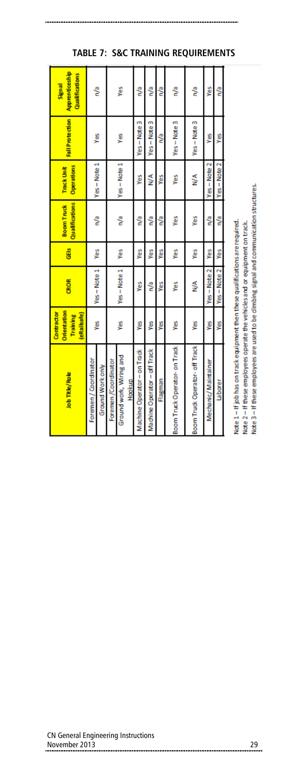| Apprenticeship<br>Qualifications<br>Signal<br><b>Fall Protection</b><br>Operations<br><b>Track Unit</b><br>Qualifications<br><b>Boom Truck</b> | ិ<br>š<br>Yes-Note 1<br>ဇို               |                     | yes<br>yes<br>$Yes - Note 1$<br>e/a | ို့<br>Yes-Note 3<br>Yes<br>e/a | ို့<br>Yes-Note 3<br>⋚<br>ို့ | ို့<br>n/a<br>Ş<br>ို့ | e/a<br>Yes-Note 3<br>Yes<br>Yes | e <sup>o</sup> n<br>Yes-Note 3<br>⋚<br>yes | Yes<br>Š<br>$Yes - Note 2$<br>n/a | ិ<br>yes<br>Yes-Note 2<br>ို့ |                                                                                |
|------------------------------------------------------------------------------------------------------------------------------------------------|-------------------------------------------|---------------------|-------------------------------------|---------------------------------|-------------------------------|------------------------|---------------------------------|--------------------------------------------|-----------------------------------|-------------------------------|--------------------------------------------------------------------------------|
| GEIS                                                                                                                                           | Ýes                                       |                     | Yes                                 | Ýes                             | γes                           | Yes                    | Yes                             | Yes                                        | yes                               | Yes                           |                                                                                |
| <b>CROR</b>                                                                                                                                    | Yes-Note 1                                |                     | Yes-Note 1                          | ٧es                             | ို့                           | Υes                    | Ýes                             | ⋚                                          | Yes-Note 2                        | Yes-Note 2                    |                                                                                |
| Orientation<br>Contractor<br>eRailsafe)<br>Training                                                                                            | ¥                                         |                     | yes                                 | yes                             | yes                           | Š                      | yes                             | yes                                        | yes                               | y                             |                                                                                |
| Job Title/Role                                                                                                                                 | Foremen / Coordinator<br>Ground Work only | Foremen/Coordinator | Ground work, Wiring and<br>Hookup   | Machine Operator - on Track     | Machine Operator - off Track  | Flagman                | Boom Truck Operator- on Track   | Boom Truck Operator- off Track             | Mechanic/Maintainer               | Laborer                       | Note 1 - If job has on track equipment then these qualifications are required. |

#### **TABLE 7: S&C TRAINING REQUIREMENTS**

#### CN General Engineering Instructions November 2013 29

Note 3 - If these employees are used to be climbing signal and communication structures.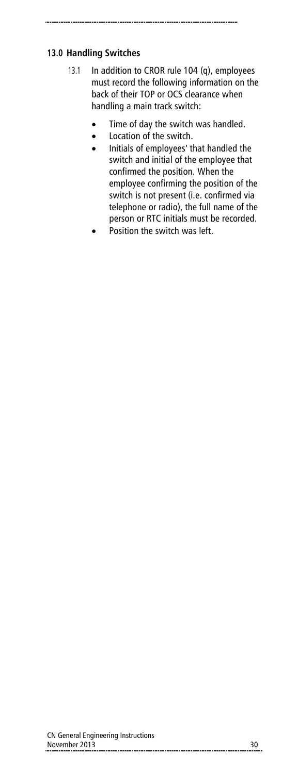# **13.0 Handling Switches**

- 13.1 In addition to CROR rule 104 (q), employees must record the following information on the back of their TOP or OCS clearance when handling a main track switch:
	- Time of day the switch was handled.
	- Location of the switch.
	- Initials of employees' that handled the switch and initial of the employee that confirmed the position. When the employee confirming the position of the switch is not present (i.e. confirmed via telephone or radio), the full name of the person or RTC initials must be recorded.
	- Position the switch was left.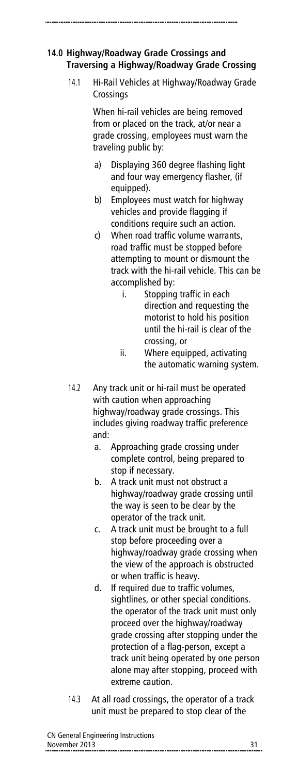# **14.0 Highway/Roadway Grade Crossings and Traversing a Highway/Roadway Grade Crossing**

14.1 Hi-Rail Vehicles at Highway/Roadway Grade **Crossings** 

> When hi-rail vehicles are being removed from or placed on the track, at/or near a grade crossing, employees must warn the traveling public by:

- a) Displaying 360 degree flashing light and four way emergency flasher, (if equipped).
- b) Employees must watch for highway vehicles and provide flagging if conditions require such an action.
- c) When road traffic volume warrants, road traffic must be stopped before attempting to mount or dismount the track with the hi-rail vehicle. This can be accomplished by:
	- i. Stopping traffic in each direction and requesting the motorist to hold his position until the hi-rail is clear of the crossing, or
	- ii. Where equipped, activating the automatic warning system.
- 14.2 Any track unit or hi-rail must be operated with caution when approaching highway/roadway grade crossings. This includes giving roadway traffic preference and:
	- a. Approaching grade crossing under complete control, being prepared to stop if necessary.
	- b. A track unit must not obstruct a highway/roadway grade crossing until the way is seen to be clear by the operator of the track unit.
	- c. A track unit must be brought to a full stop before proceeding over a highway/roadway grade crossing when the view of the approach is obstructed or when traffic is heavy.
	- d. If required due to traffic volumes, sightlines, or other special conditions. the operator of the track unit must only proceed over the highway/roadway grade crossing after stopping under the protection of a flag-person, except a track unit being operated by one person alone may after stopping, proceed with extreme caution.
- 14.3 At all road crossings, the operator of a track unit must be prepared to stop clear of the

| CN General Engineering Instructions       |  |
|-------------------------------------------|--|
| November 2013<br>------------------------ |  |
|                                           |  |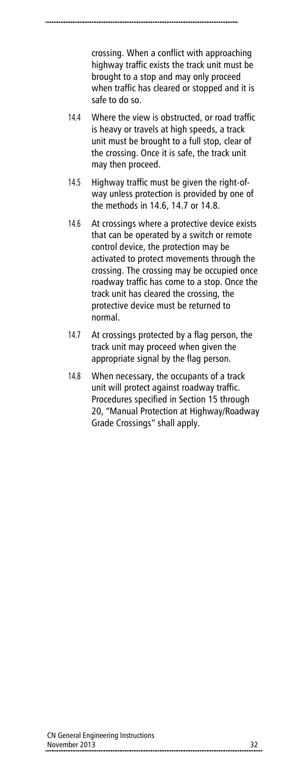crossing. When a conflict with approaching highway traffic exists the track unit must be brought to a stop and may only proceed when traffic has cleared or stopped and it is safe to do so.

- 14.4 Where the view is obstructed, or road traffic is heavy or travels at high speeds, a track unit must be brought to a full stop, clear of the crossing. Once it is safe, the track unit may then proceed.
- 14.5 Highway traffic must be given the right-ofway unless protection is provided by one of the methods in 14.6, 14.7 or 14.8.
- 14.6 At crossings where a protective device exists that can be operated by a switch or remote control device, the protection may be activated to protect movements through the crossing. The crossing may be occupied once roadway traffic has come to a stop. Once the track unit has cleared the crossing, the protective device must be returned to normal.
- 14.7 At crossings protected by a flag person, the track unit may proceed when given the appropriate signal by the flag person.
- 14.8 When necessary, the occupants of a track unit will protect against roadway traffic. Procedures specified in Section 15 through 20, "Manual Protection at Highway/Roadway Grade Crossings" shall apply.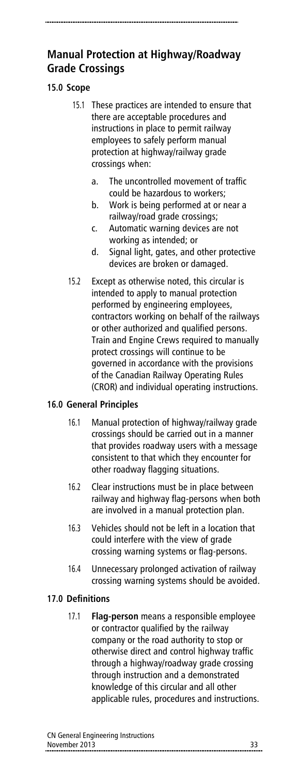# **Manual Protection at Highway/Roadway Grade Crossings**

# **15.0 Scope**

- 15.1 These practices are intended to ensure that there are acceptable procedures and instructions in place to permit railway employees to safely perform manual protection at highway/railway grade crossings when:
	- a. The uncontrolled movement of traffic could be hazardous to workers;
	- b. Work is being performed at or near a railway/road grade crossings;
	- c. Automatic warning devices are not working as intended; or
	- d. Signal light, gates, and other protective devices are broken or damaged.
- 15.2 Except as otherwise noted, this circular is intended to apply to manual protection performed by engineering employees, contractors working on behalf of the railways or other authorized and qualified persons. Train and Engine Crews required to manually protect crossings will continue to be governed in accordance with the provisions of the Canadian Railway Operating Rules (CROR) and individual operating instructions.

# **16.0 General Principles**

- 16.1 Manual protection of highway/railway grade crossings should be carried out in a manner that provides roadway users with a message consistent to that which they encounter for other roadway flagging situations.
- 16.2 Clear instructions must be in place between railway and highway flag-persons when both are involved in a manual protection plan.
- 16.3 Vehicles should not be left in a location that could interfere with the view of grade crossing warning systems or flag-persons.
- 16.4 Unnecessary prolonged activation of railway crossing warning systems should be avoided.

# **17.0 Definitions**

17.1 **Flag-person** means a responsible employee or contractor qualified by the railway company or the road authority to stop or otherwise direct and control highway traffic through a highway/roadway grade crossing through instruction and a demonstrated knowledge of this circular and all other applicable rules, procedures and instructions.

| CN General Engineering Instructions |  |
|-------------------------------------|--|
| November 2013                       |  |
|                                     |  |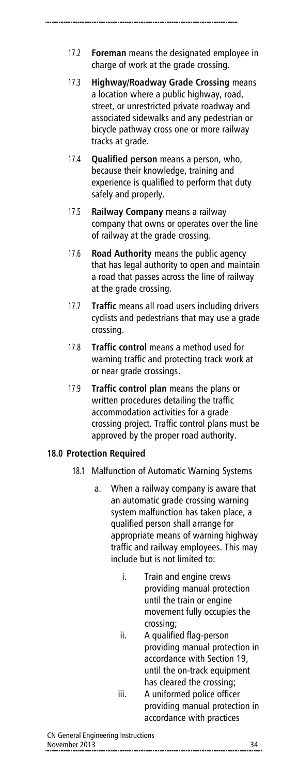- 17.2 **Foreman** means the designated employee in charge of work at the grade crossing.
- 17.3 **Highway/Roadway Grade Crossing** means a location where a public highway, road, street, or unrestricted private roadway and associated sidewalks and any pedestrian or bicycle pathway cross one or more railway tracks at grade.
- 17.4 **Qualified person** means a person, who, because their knowledge, training and experience is qualified to perform that duty safely and properly.
- 17.5 **Railway Company** means a railway company that owns or operates over the line of railway at the grade crossing.
- 17.6 **Road Authority** means the public agency that has legal authority to open and maintain a road that passes across the line of railway at the grade crossing.
- 17.7 **Traffic** means all road users including drivers cyclists and pedestrians that may use a grade crossing.
- 17.8 **Traffic control** means a method used for warning traffic and protecting track work at or near grade crossings.
- 17.9 **Traffic control plan** means the plans or written procedures detailing the traffic accommodation activities for a grade crossing project. Traffic control plans must be approved by the proper road authority.

#### **18.0 Protection Required**

- 18.1 Malfunction of Automatic Warning Systems
	- a. When a railway company is aware that an automatic grade crossing warning system malfunction has taken place, a qualified person shall arrange for appropriate means of warning highway traffic and railway employees. This may include but is not limited to:
		- i. Train and engine crews providing manual protection until the train or engine movement fully occupies the crossing;
		- ii. A qualified flag-person providing manual protection in accordance with Section 19, until the on-track equipment has cleared the crossing;
		- iii. A uniformed police officer providing manual protection in accordance with practices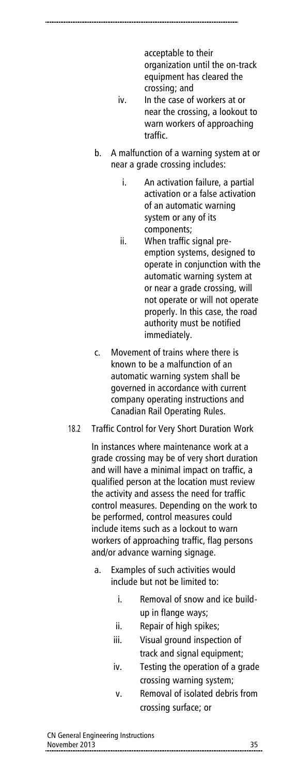acceptable to their organization until the on-track equipment has cleared the crossing; and

- iv. In the case of workers at or near the crossing, a lookout to warn workers of approaching traffic.
- b. A malfunction of a warning system at or near a grade crossing includes:
	- i. An activation failure, a partial activation or a false activation of an automatic warning system or any of its components;
	- ii. When traffic signal preemption systems, designed to operate in conjunction with the automatic warning system at or near a grade crossing, will not operate or will not operate properly. In this case, the road authority must be notified immediately.
- c. Movement of trains where there is known to be a malfunction of an automatic warning system shall be governed in accordance with current company operating instructions and Canadian Rail Operating Rules.
- 18.2 Traffic Control for Very Short Duration Work

In instances where maintenance work at a grade crossing may be of very short duration and will have a minimal impact on traffic, a qualified person at the location must review the activity and assess the need for traffic control measures. Depending on the work to be performed, control measures could include items such as a lockout to warn workers of approaching traffic, flag persons and/or advance warning signage.

- a. Examples of such activities would include but not be limited to:
	- i. Removal of snow and ice buildup in flange ways;
	- ii. Repair of high spikes;
	- iii. Visual ground inspection of track and signal equipment;
	- iv. Testing the operation of a grade crossing warning system;
	- v. Removal of isolated debris from crossing surface; or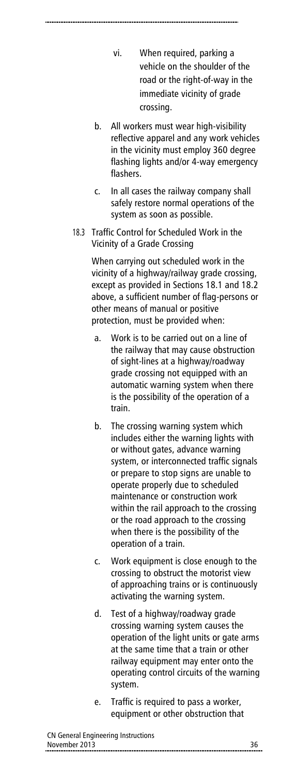- vi. When required, parking a vehicle on the shoulder of the road or the right-of-way in the immediate vicinity of grade crossing.
- b. All workers must wear high-visibility reflective apparel and any work vehicles in the vicinity must employ 360 degree flashing lights and/or 4-way emergency flashers.
- c. In all cases the railway company shall safely restore normal operations of the system as soon as possible.
- 18.3 Traffic Control for Scheduled Work in the Vicinity of a Grade Crossing

When carrying out scheduled work in the vicinity of a highway/railway grade crossing, except as provided in Sections 18.1 and 18.2 above, a sufficient number of flag-persons or other means of manual or positive protection, must be provided when:

- a. Work is to be carried out on a line of the railway that may cause obstruction of sight-lines at a highway/roadway grade crossing not equipped with an automatic warning system when there is the possibility of the operation of a train.
- b. The crossing warning system which includes either the warning lights with or without gates, advance warning system, or interconnected traffic signals or prepare to stop signs are unable to operate properly due to scheduled maintenance or construction work within the rail approach to the crossing or the road approach to the crossing when there is the possibility of the operation of a train.
- c. Work equipment is close enough to the crossing to obstruct the motorist view of approaching trains or is continuously activating the warning system.
- d. Test of a highway/roadway grade crossing warning system causes the operation of the light units or gate arms at the same time that a train or other railway equipment may enter onto the operating control circuits of the warning system.
- e. Traffic is required to pass a worker, equipment or other obstruction that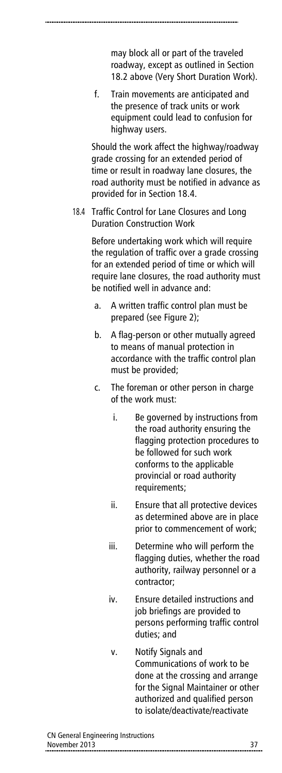may block all or part of the traveled roadway, except as outlined in Section 18.2 above (Very Short Duration Work).

f. Train movements are anticipated and the presence of track units or work equipment could lead to confusion for highway users.

Should the work affect the highway/roadway grade crossing for an extended period of time or result in roadway lane closures, the road authority must be notified in advance as provided for in Section 18.4.

18.4 Traffic Control for Lane Closures and Long Duration Construction Work

> Before undertaking work which will require the regulation of traffic over a grade crossing for an extended period of time or which will require lane closures, the road authority must be notified well in advance and:

- a. A written traffic control plan must be prepared (see Figure 2);
- b. A flag-person or other mutually agreed to means of manual protection in accordance with the traffic control plan must be provided;
- c. The foreman or other person in charge of the work must:
	- i. Be governed by instructions from the road authority ensuring the flagging protection procedures to be followed for such work conforms to the applicable provincial or road authority requirements;
	- ii. Ensure that all protective devices as determined above are in place prior to commencement of work;
	- iii. Determine who will perform the flagging duties, whether the road authority, railway personnel or a contractor;
	- iv. Ensure detailed instructions and job briefings are provided to persons performing traffic control duties; and
	- v. Notify Signals and Communications of work to be done at the crossing and arrange for the Signal Maintainer or other authorized and qualified person to isolate/deactivate/reactivate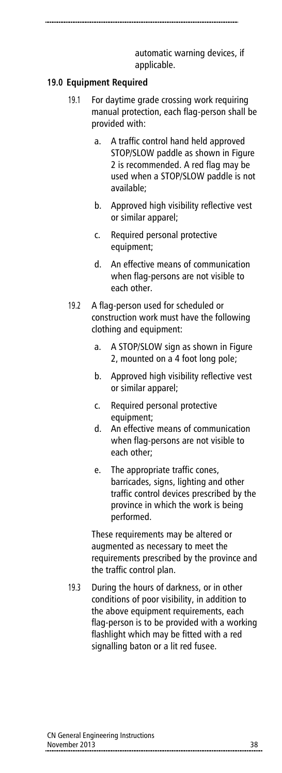automatic warning devices, if applicable.

#### **19.0 Equipment Required**

- 19.1 For daytime grade crossing work requiring manual protection, each flag-person shall be provided with:
	- a. A traffic control hand held approved STOP/SLOW paddle as shown in Figure 2 is recommended. A red flag may be used when a STOP/SLOW paddle is not available;
	- b. Approved high visibility reflective vest or similar apparel;
	- c. Required personal protective equipment;
	- d. An effective means of communication when flag-persons are not visible to each other.
- 19.2 A flag-person used for scheduled or construction work must have the following clothing and equipment:
	- a. A STOP/SLOW sign as shown in Figure 2, mounted on a 4 foot long pole;
	- b. Approved high visibility reflective vest or similar apparel;
	- c. Required personal protective equipment;
	- d. An effective means of communication when flag-persons are not visible to each other;
	- e. The appropriate traffic cones, barricades, signs, lighting and other traffic control devices prescribed by the province in which the work is being performed.

These requirements may be altered or augmented as necessary to meet the requirements prescribed by the province and the traffic control plan.

19.3 During the hours of darkness, or in other conditions of poor visibility, in addition to the above equipment requirements, each flag-person is to be provided with a working flashlight which may be fitted with a red signalling baton or a lit red fusee.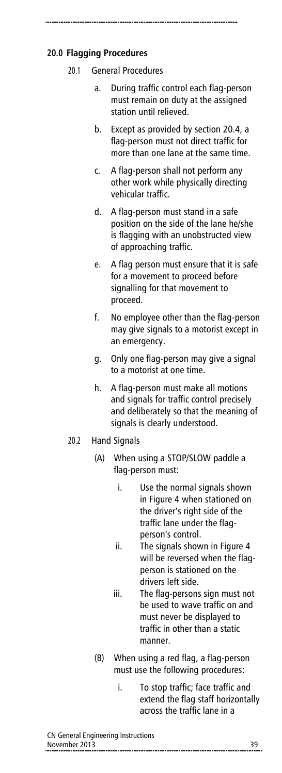# **20.0 Flagging Procedures**

#### 20.1 General Procedures

- a. During traffic control each flag-person must remain on duty at the assigned station until relieved.
- b. Except as provided by section 20.4, a flag-person must not direct traffic for more than one lane at the same time.
- c. A flag-person shall not perform any other work while physically directing vehicular traffic.
- d. A flag-person must stand in a safe position on the side of the lane he/she is flagging with an unobstructed view of approaching traffic.
- e. A flag person must ensure that it is safe for a movement to proceed before signalling for that movement to proceed.
- f. No employee other than the flag-person may give signals to a motorist except in an emergency.
- g. Only one flag-person may give a signal to a motorist at one time.
- h. A flag-person must make all motions and signals for traffic control precisely and deliberately so that the meaning of signals is clearly understood.
- 20.2 Hand Signals
	- (A) When using a STOP/SLOW paddle a flag-person must:
		- i. Use the normal signals shown in Figure 4 when stationed on the driver's right side of the traffic lane under the flagperson's control.
		- ii. The signals shown in Figure 4 will be reversed when the flagperson is stationed on the drivers left side.
		- iii. The flag-persons sign must not be used to wave traffic on and must never be displayed to traffic in other than a static manner.
	- (B) When using a red flag, a flag-person must use the following procedures:
		- i. To stop traffic; face traffic and extend the flag staff horizontally across the traffic lane in a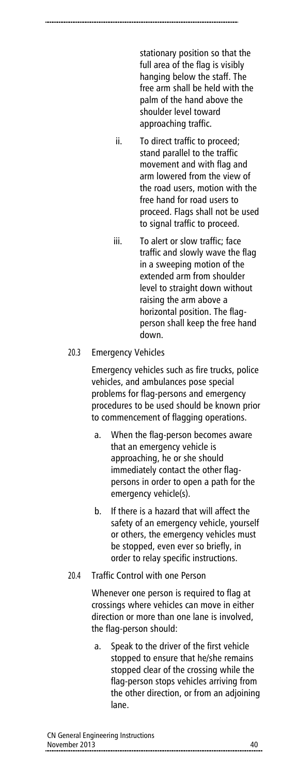stationary position so that the full area of the flag is visibly hanging below the staff. The free arm shall be held with the palm of the hand above the shoulder level toward approaching traffic.

- ii. To direct traffic to proceed; stand parallel to the traffic movement and with flag and arm lowered from the view of the road users, motion with the free hand for road users to proceed. Flags shall not be used to signal traffic to proceed.
- iii. To alert or slow traffic; face traffic and slowly wave the flag in a sweeping motion of the extended arm from shoulder level to straight down without raising the arm above a horizontal position. The flagperson shall keep the free hand down.

#### 20.3 Emergency Vehicles

Emergency vehicles such as fire trucks, police vehicles, and ambulances pose special problems for flag-persons and emergency procedures to be used should be known prior to commencement of flagging operations.

- a. When the flag-person becomes aware that an emergency vehicle is approaching, he or she should immediately contact the other flagpersons in order to open a path for the emergency vehicle(s).
- b. If there is a hazard that will affect the safety of an emergency vehicle, yourself or others, the emergency vehicles must be stopped, even ever so briefly, in order to relay specific instructions.

#### 20.4 Traffic Control with one Person

Whenever one person is required to flag at crossings where vehicles can move in either direction or more than one lane is involved, the flag-person should:

a. Speak to the driver of the first vehicle stopped to ensure that he/she remains stopped clear of the crossing while the flag-person stops vehicles arriving from the other direction, or from an adjoining lane.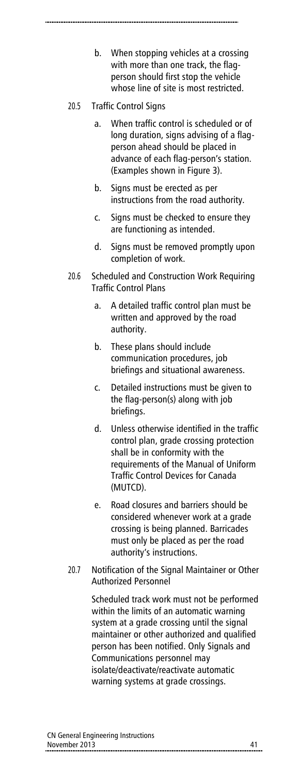b. When stopping vehicles at a crossing with more than one track, the flagperson should first stop the vehicle whose line of site is most restricted.

### 20.5 Traffic Control Signs

- a. When traffic control is scheduled or of long duration, signs advising of a flagperson ahead should be placed in advance of each flag-person's station. (Examples shown in Figure 3).
- b. Signs must be erected as per instructions from the road authority.
- c. Signs must be checked to ensure they are functioning as intended.
- d. Signs must be removed promptly upon completion of work.
- 20.6 Scheduled and Construction Work Requiring Traffic Control Plans
	- a. A detailed traffic control plan must be written and approved by the road authority.
	- b. These plans should include communication procedures, job briefings and situational awareness.
	- c. Detailed instructions must be given to the flag-person(s) along with job briefings.
	- d. Unless otherwise identified in the traffic control plan, grade crossing protection shall be in conformity with the requirements of the Manual of Uniform Traffic Control Devices for Canada (MUTCD).
	- e. Road closures and barriers should be considered whenever work at a grade crossing is being planned. Barricades must only be placed as per the road authority's instructions.
- 20.7 Notification of the Signal Maintainer or Other Authorized Personnel

Scheduled track work must not be performed within the limits of an automatic warning system at a grade crossing until the signal maintainer or other authorized and qualified person has been notified. Only Signals and Communications personnel may isolate/deactivate/reactivate automatic warning systems at grade crossings.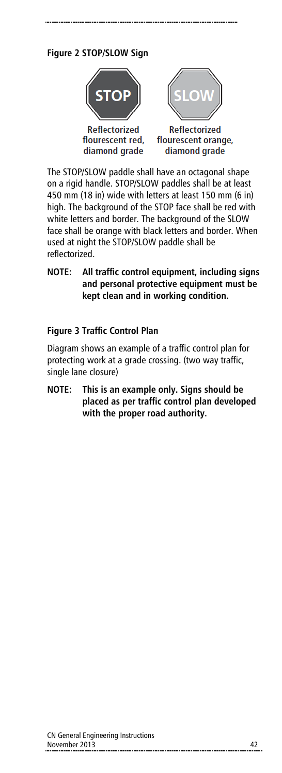# **Figure 2 STOP/SLOW Sign**



The STOP/SLOW paddle shall have an octagonal shape on a rigid handle. STOP/SLOW paddles shall be at least 450 mm (18 in) wide with letters at least 150 mm (6 in) high. The background of the STOP face shall be red with white letters and border. The background of the SLOW face shall be orange with black letters and border. When used at night the STOP/SLOW paddle shall be reflectorized.

### **NOTE: All traffic control equipment, including signs and personal protective equipment must be kept clean and in working condition.**

### **Figure 3 Traffic Control Plan**

Diagram shows an example of a traffic control plan for protecting work at a grade crossing. (two way traffic, single lane closure)

**NOTE: This is an example only. Signs should be placed as per traffic control plan developed with the proper road authority.**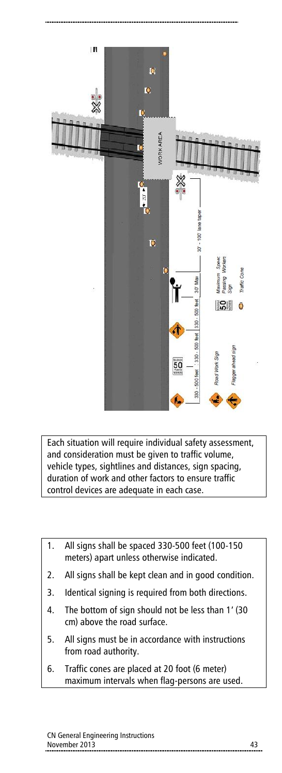

Each situation will require individual safety assessment, and consideration must be given to traffic volume, vehicle types, sightlines and distances, sign spacing, duration of work and other factors to ensure traffic control devices are adequate in each case.

- 1. All signs shall be spaced 330-500 feet (100-150 meters) apart unless otherwise indicated. 2. All signs shall be kept clean and in good condition. 3. Identical signing is required from both directions. 4. The bottom of sign should not be less than 1' (30 cm) above the road surface. 5. All signs must be in accordance with instructions from road authority.
- 6. Traffic cones are placed at 20 foot (6 meter) maximum intervals when flag-persons are used.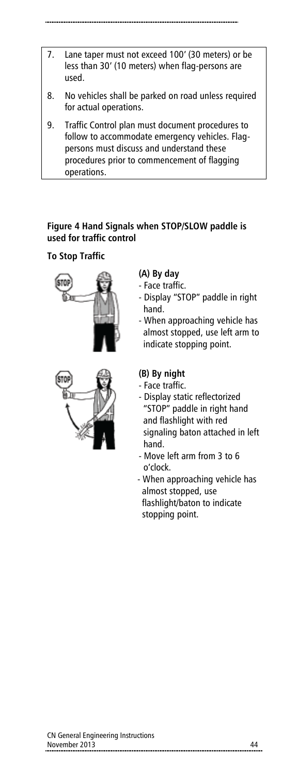- 7. Lane taper must not exceed 100' (30 meters) or be less than 30' (10 meters) when flag-persons are used.
- 8. No vehicles shall be parked on road unless required for actual operations.
- 9. Traffic Control plan must document procedures to follow to accommodate emergency vehicles. Flagpersons must discuss and understand these procedures prior to commencement of flagging operations.

# **Figure 4 Hand Signals when STOP/SLOW paddle is used for traffic control**

# **To Stop Traffic**





# **(A) By day**

- Face traffic.
- Display "STOP" paddle in right hand.
- When approaching vehicle has almost stopped, use left arm to indicate stopping point.

# **(B) By night**

- Face traffic.
- Display static reflectorized "STOP" paddle in right hand and flashlight with red signaling baton attached in left hand.
- Move left arm from 3 to 6 o'clock.
- When approaching vehicle has almost stopped, use flashlight/baton to indicate stopping point.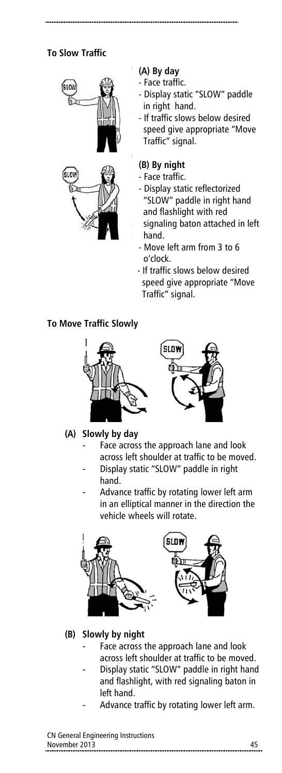# **To Slow Traffic**



### **(A) By day**

- Face traffic.
- Display static "SLOW" paddle in right hand.
- If traffic slows below desired speed give appropriate "Move Traffic" signal.

### **(B) By night**

- Face traffic.
- Display static reflectorized "SLOW" paddle in right hand and flashlight with red signaling baton attached in left hand.
- Move left arm from 3 to 6 o'clock.
- If traffic slows below desired speed give appropriate "Move Traffic" signal.

#### **To Move Traffic Slowly**



#### **(A) Slowly by day**

- Face across the approach lane and look across left shoulder at traffic to be moved.
- Display static "SLOW" paddle in right hand.
- Advance traffic by rotating lower left arm in an elliptical manner in the direction the vehicle wheels will rotate.



#### **(B) Slowly by night**

- Face across the approach lane and look across left shoulder at traffic to be moved.
- Display static "SLOW" paddle in right hand and flashlight, with red signaling baton in left hand.
- Advance traffic by rotating lower left arm.

#### CN General Engineering Instructions November 2013 45